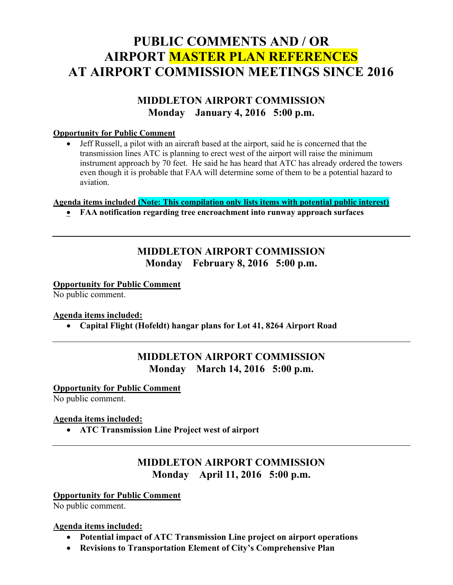# PUBLIC COMMENTS AND / OR AIRPORT MASTER PLAN REFERENCES AT AIRPORT COMMISSION MEETINGS SINCE 2016

# MIDDLETON AIRPORT COMMISSION Monday January 4, 2016 5:00 p.m.

#### Opportunity for Public Comment

 Jeff Russell, a pilot with an aircraft based at the airport, said he is concerned that the transmission lines ATC is planning to erect west of the airport will raise the minimum instrument approach by 70 feet. He said he has heard that ATC has already ordered the towers even though it is probable that FAA will determine some of them to be a potential hazard to aviation.

#### Agenda items included (Note: This compilation only lists items with potential public interest)

FAA notification regarding tree encroachment into runway approach surfaces

# MIDDLETON AIRPORT COMMISSION Monday February 8, 2016 5:00 p.m.

#### Opportunity for Public Comment

No public comment.

#### Agenda items included:

Capital Flight (Hofeldt) hangar plans for Lot 41, 8264 Airport Road

# MIDDLETON AIRPORT COMMISSION Monday March 14, 2016 5:00 p.m.

#### Opportunity for Public Comment

No public comment.

#### Agenda items included:

ATC Transmission Line Project west of airport

# MIDDLETON AIRPORT COMMISSION Monday April 11, 2016 5:00 p.m.

#### **Opportunity for Public Comment**

No public comment.

#### Agenda items included:

- Potential impact of ATC Transmission Line project on airport operations
- Revisions to Transportation Element of City's Comprehensive Plan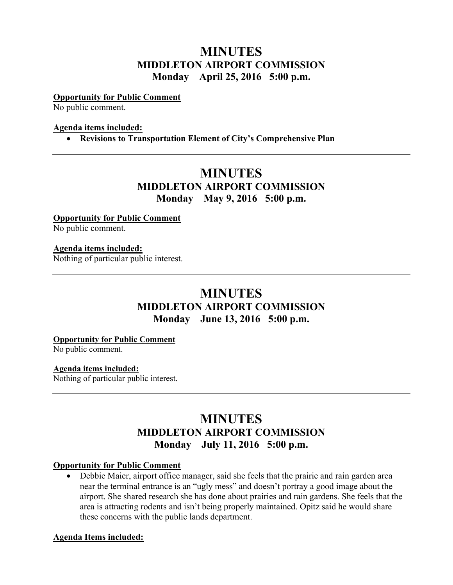# **MINUTES** MIDDLETON AIRPORT COMMISSION Monday April 25, 2016 5:00 p.m.

#### Opportunity for Public Comment

No public comment.

#### Agenda items included:

Revisions to Transportation Element of City's Comprehensive Plan

# MINUTES MIDDLETON AIRPORT COMMISSION Monday May 9, 2016 5:00 p.m.

**Opportunity for Public Comment** No public comment.

### Agenda items included:

Nothing of particular public interest.

# **MINUTES** MIDDLETON AIRPORT COMMISSION Monday June 13, 2016 5:00 p.m.

#### Opportunity for Public Comment

No public comment.

#### Agenda items included:

Nothing of particular public interest.

# **MINUTES** MIDDLETON AIRPORT COMMISSION Monday July 11, 2016 5:00 p.m.

### Opportunity for Public Comment

 Debbie Maier, airport office manager, said she feels that the prairie and rain garden area near the terminal entrance is an "ugly mess" and doesn't portray a good image about the airport. She shared research she has done about prairies and rain gardens. She feels that the area is attracting rodents and isn't being properly maintained. Opitz said he would share these concerns with the public lands department.

#### Agenda Items included: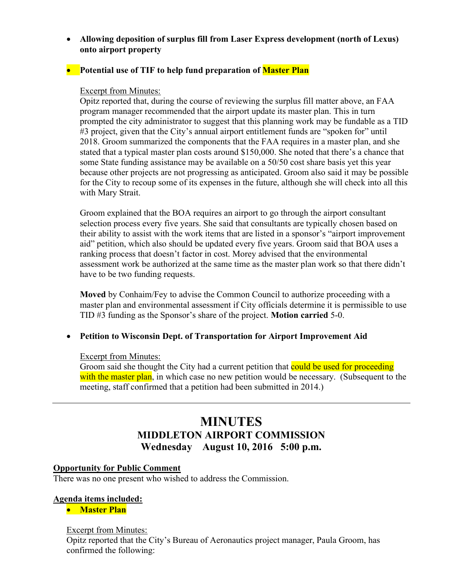Allowing deposition of surplus fill from Laser Express development (north of Lexus) onto airport property

# • Potential use of TIF to help fund preparation of **Master Plan**

### Excerpt from Minutes:

Opitz reported that, during the course of reviewing the surplus fill matter above, an FAA program manager recommended that the airport update its master plan. This in turn prompted the city administrator to suggest that this planning work may be fundable as a TID #3 project, given that the City's annual airport entitlement funds are "spoken for" until 2018. Groom summarized the components that the FAA requires in a master plan, and she stated that a typical master plan costs around \$150,000. She noted that there's a chance that some State funding assistance may be available on a 50/50 cost share basis yet this year because other projects are not progressing as anticipated. Groom also said it may be possible for the City to recoup some of its expenses in the future, although she will check into all this with Mary Strait.

Groom explained that the BOA requires an airport to go through the airport consultant selection process every five years. She said that consultants are typically chosen based on their ability to assist with the work items that are listed in a sponsor's "airport improvement aid" petition, which also should be updated every five years. Groom said that BOA uses a ranking process that doesn't factor in cost. Morey advised that the environmental assessment work be authorized at the same time as the master plan work so that there didn't have to be two funding requests.

Moved by Conhaim/Fey to advise the Common Council to authorize proceeding with a master plan and environmental assessment if City officials determine it is permissible to use TID #3 funding as the Sponsor's share of the project. Motion carried 5-0.

# Petition to Wisconsin Dept. of Transportation for Airport Improvement Aid

#### Excerpt from Minutes:

Groom said she thought the City had a current petition that could be used for proceeding with the master plan, in which case no new petition would be necessary. (Subsequent to the meeting, staff confirmed that a petition had been submitted in 2014.)

# MINUTES MIDDLETON AIRPORT COMMISSION Wednesday August 10, 2016 5:00 p.m.

#### Opportunity for Public Comment

There was no one present who wished to address the Commission.

#### Agenda items included:

**•** Master Plan

#### Excerpt from Minutes:

Opitz reported that the City's Bureau of Aeronautics project manager, Paula Groom, has confirmed the following: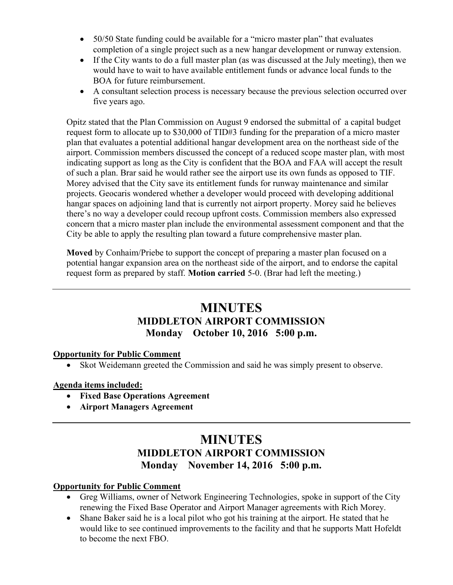- 50/50 State funding could be available for a "micro master plan" that evaluates completion of a single project such as a new hangar development or runway extension.
- If the City wants to do a full master plan (as was discussed at the July meeting), then we would have to wait to have available entitlement funds or advance local funds to the BOA for future reimbursement.
- A consultant selection process is necessary because the previous selection occurred over five years ago.

Opitz stated that the Plan Commission on August 9 endorsed the submittal of a capital budget request form to allocate up to \$30,000 of TID#3 funding for the preparation of a micro master plan that evaluates a potential additional hangar development area on the northeast side of the airport. Commission members discussed the concept of a reduced scope master plan, with most indicating support as long as the City is confident that the BOA and FAA will accept the result of such a plan. Brar said he would rather see the airport use its own funds as opposed to TIF. Morey advised that the City save its entitlement funds for runway maintenance and similar projects. Geocaris wondered whether a developer would proceed with developing additional hangar spaces on adjoining land that is currently not airport property. Morey said he believes there's no way a developer could recoup upfront costs. Commission members also expressed concern that a micro master plan include the environmental assessment component and that the City be able to apply the resulting plan toward a future comprehensive master plan.

Moved by Conhaim/Priebe to support the concept of preparing a master plan focused on a potential hangar expansion area on the northeast side of the airport, and to endorse the capital request form as prepared by staff. **Motion carried** 5-0. (Brar had left the meeting.)

# MINUTES MIDDLETON AIRPORT COMMISSION Monday October 10, 2016 5:00 p.m.

#### Opportunity for Public Comment

Skot Weidemann greeted the Commission and said he was simply present to observe.

# Agenda items included:

- Fixed Base Operations Agreement
- Airport Managers Agreement

# MINUTES MIDDLETON AIRPORT COMMISSION Monday November 14, 2016 5:00 p.m.

# Opportunity for Public Comment

- Greg Williams, owner of Network Engineering Technologies, spoke in support of the City renewing the Fixed Base Operator and Airport Manager agreements with Rich Morey.
- Shane Baker said he is a local pilot who got his training at the airport. He stated that he would like to see continued improvements to the facility and that he supports Matt Hofeldt to become the next FBO.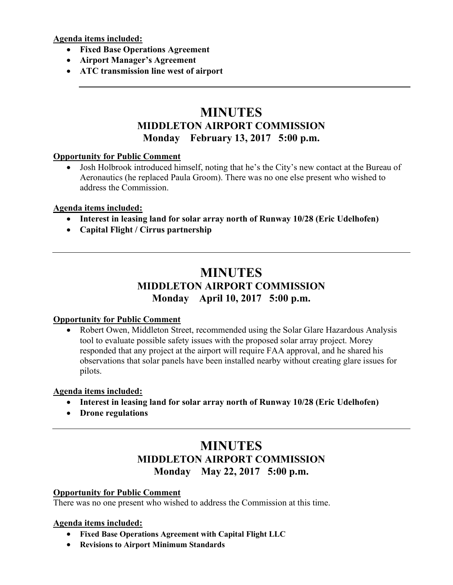Agenda items included:

- Fixed Base Operations Agreement
- Airport Manager's Agreement
- ATC transmission line west of airport

# MINUTES MIDDLETON AIRPORT COMMISSION Monday February 13, 2017 5:00 p.m.

### **Opportunity for Public Comment**

 Josh Holbrook introduced himself, noting that he's the City's new contact at the Bureau of Aeronautics (he replaced Paula Groom). There was no one else present who wished to address the Commission.

### Agenda items included:

- Interest in leasing land for solar array north of Runway 10/28 (Eric Udelhofen)
- Capital Flight / Cirrus partnership

# MINUTES MIDDLETON AIRPORT COMMISSION Monday April 10, 2017 5:00 p.m.

# Opportunity for Public Comment

 Robert Owen, Middleton Street, recommended using the Solar Glare Hazardous Analysis tool to evaluate possible safety issues with the proposed solar array project. Morey responded that any project at the airport will require FAA approval, and he shared his observations that solar panels have been installed nearby without creating glare issues for pilots.

# Agenda items included:

- Interest in leasing land for solar array north of Runway 10/28 (Eric Udelhofen)
- Drone regulations

# MINUTES MIDDLETON AIRPORT COMMISSION Monday May 22, 2017 5:00 p.m.

#### Opportunity for Public Comment

There was no one present who wished to address the Commission at this time.

#### Agenda items included:

- Fixed Base Operations Agreement with Capital Flight LLC
- Revisions to Airport Minimum Standards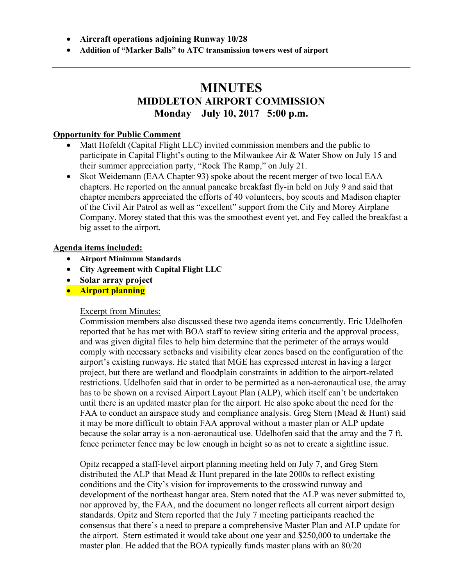- Aircraft operations adjoining Runway 10/28
- Addition of "Marker Balls" to ATC transmission towers west of airport

# MINUTES MIDDLETON AIRPORT COMMISSION Monday July 10, 2017 5:00 p.m.

#### Opportunity for Public Comment

- Matt Hofeldt (Capital Flight LLC) invited commission members and the public to participate in Capital Flight's outing to the Milwaukee Air & Water Show on July 15 and their summer appreciation party, "Rock The Ramp," on July 21.
- Skot Weidemann (EAA Chapter 93) spoke about the recent merger of two local EAA chapters. He reported on the annual pancake breakfast fly-in held on July 9 and said that chapter members appreciated the efforts of 40 volunteers, boy scouts and Madison chapter of the Civil Air Patrol as well as "excellent" support from the City and Morey Airplane Company. Morey stated that this was the smoothest event yet, and Fey called the breakfast a big asset to the airport.

#### Agenda items included:

- Airport Minimum Standards
- City Agreement with Capital Flight LLC
- Solar array project
- **Airport planning**

#### Excerpt from Minutes:

Commission members also discussed these two agenda items concurrently. Eric Udelhofen reported that he has met with BOA staff to review siting criteria and the approval process, and was given digital files to help him determine that the perimeter of the arrays would comply with necessary setbacks and visibility clear zones based on the configuration of the airport's existing runways. He stated that MGE has expressed interest in having a larger project, but there are wetland and floodplain constraints in addition to the airport-related restrictions. Udelhofen said that in order to be permitted as a non-aeronautical use, the array has to be shown on a revised Airport Layout Plan (ALP), which itself can't be undertaken until there is an updated master plan for the airport. He also spoke about the need for the FAA to conduct an airspace study and compliance analysis. Greg Stern (Mead & Hunt) said it may be more difficult to obtain FAA approval without a master plan or ALP update because the solar array is a non-aeronautical use. Udelhofen said that the array and the 7 ft. fence perimeter fence may be low enough in height so as not to create a sightline issue.

Opitz recapped a staff-level airport planning meeting held on July 7, and Greg Stern distributed the ALP that Mead & Hunt prepared in the late 2000s to reflect existing conditions and the City's vision for improvements to the crosswind runway and development of the northeast hangar area. Stern noted that the ALP was never submitted to, nor approved by, the FAA, and the document no longer reflects all current airport design standards. Opitz and Stern reported that the July 7 meeting participants reached the consensus that there's a need to prepare a comprehensive Master Plan and ALP update for the airport. Stern estimated it would take about one year and \$250,000 to undertake the master plan. He added that the BOA typically funds master plans with an 80/20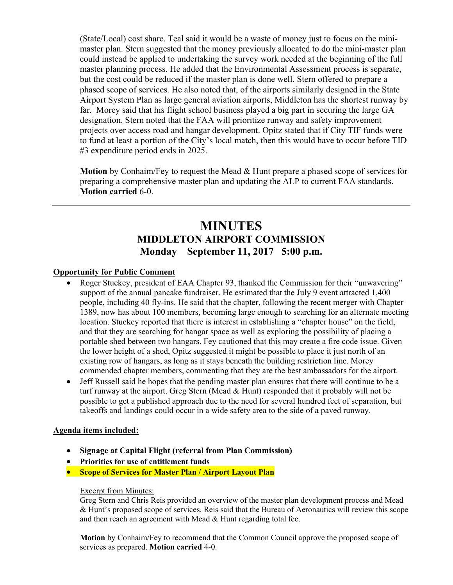(State/Local) cost share. Teal said it would be a waste of money just to focus on the minimaster plan. Stern suggested that the money previously allocated to do the mini-master plan could instead be applied to undertaking the survey work needed at the beginning of the full master planning process. He added that the Environmental Assessment process is separate, but the cost could be reduced if the master plan is done well. Stern offered to prepare a phased scope of services. He also noted that, of the airports similarly designed in the State Airport System Plan as large general aviation airports, Middleton has the shortest runway by far. Morey said that his flight school business played a big part in securing the large GA designation. Stern noted that the FAA will prioritize runway and safety improvement projects over access road and hangar development. Opitz stated that if City TIF funds were to fund at least a portion of the City's local match, then this would have to occur before TID #3 expenditure period ends in 2025.

Motion by Conhaim/Fey to request the Mead & Hunt prepare a phased scope of services for preparing a comprehensive master plan and updating the ALP to current FAA standards. Motion carried 6-0.

# MINUTES MIDDLETON AIRPORT COMMISSION Monday September 11, 2017 5:00 p.m.

#### Opportunity for Public Comment

- Roger Stuckey, president of EAA Chapter 93, thanked the Commission for their "unwavering" support of the annual pancake fundraiser. He estimated that the July 9 event attracted 1,400 people, including 40 fly-ins. He said that the chapter, following the recent merger with Chapter 1389, now has about 100 members, becoming large enough to searching for an alternate meeting location. Stuckey reported that there is interest in establishing a "chapter house" on the field, and that they are searching for hangar space as well as exploring the possibility of placing a portable shed between two hangars. Fey cautioned that this may create a fire code issue. Given the lower height of a shed, Opitz suggested it might be possible to place it just north of an existing row of hangars, as long as it stays beneath the building restriction line. Morey commended chapter members, commenting that they are the best ambassadors for the airport.
- Jeff Russell said he hopes that the pending master plan ensures that there will continue to be a turf runway at the airport. Greg Stern (Mead & Hunt) responded that it probably will not be possible to get a published approach due to the need for several hundred feet of separation, but takeoffs and landings could occur in a wide safety area to the side of a paved runway.

#### Agenda items included:

- Signage at Capital Flight (referral from Plan Commission)
- Priorities for use of entitlement funds
- Scope of Services for Master Plan / Airport Layout Plan

#### Excerpt from Minutes:

Greg Stern and Chris Reis provided an overview of the master plan development process and Mead & Hunt's proposed scope of services. Reis said that the Bureau of Aeronautics will review this scope and then reach an agreement with Mead & Hunt regarding total fee.

Motion by Conhaim/Fey to recommend that the Common Council approve the proposed scope of services as prepared. Motion carried 4-0.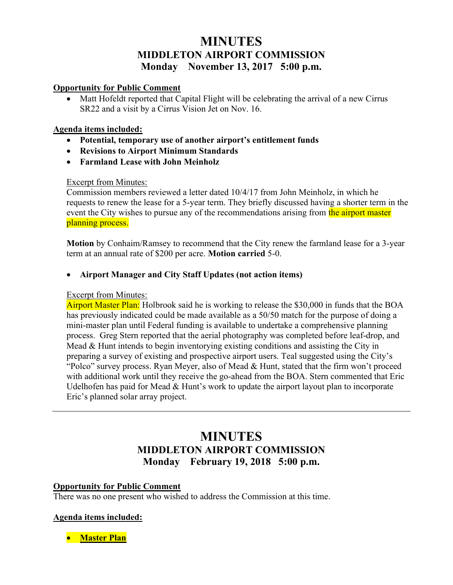# **MINUTES** MIDDLETON AIRPORT COMMISSION Monday November 13, 2017 5:00 p.m.

#### Opportunity for Public Comment

• Matt Hofeldt reported that Capital Flight will be celebrating the arrival of a new Cirrus SR22 and a visit by a Cirrus Vision Jet on Nov. 16.

### Agenda items included:

- Potential, temporary use of another airport's entitlement funds
- Revisions to Airport Minimum Standards
- Farmland Lease with John Meinholz

# Excerpt from Minutes:

Commission members reviewed a letter dated 10/4/17 from John Meinholz, in which he requests to renew the lease for a 5-year term. They briefly discussed having a shorter term in the event the City wishes to pursue any of the recommendations arising from the airport master planning process.

Motion by Conhaim/Ramsey to recommend that the City renew the farmland lease for a 3-year term at an annual rate of \$200 per acre. Motion carried 5-0.

# Airport Manager and City Staff Updates (not action items)

#### Excerpt from Minutes:

Airport Master Plan: Holbrook said he is working to release the \$30,000 in funds that the BOA has previously indicated could be made available as a 50/50 match for the purpose of doing a mini-master plan until Federal funding is available to undertake a comprehensive planning process. Greg Stern reported that the aerial photography was completed before leaf-drop, and Mead & Hunt intends to begin inventorying existing conditions and assisting the City in preparing a survey of existing and prospective airport users. Teal suggested using the City's "Polco" survey process. Ryan Meyer, also of Mead & Hunt, stated that the firm won't proceed with additional work until they receive the go-ahead from the BOA. Stern commented that Eric Udelhofen has paid for Mead & Hunt's work to update the airport layout plan to incorporate Eric's planned solar array project.

# MINUTES MIDDLETON AIRPORT COMMISSION Monday February 19, 2018 5:00 p.m.

# Opportunity for Public Comment

There was no one present who wished to address the Commission at this time.

# Agenda items included:

• Master Plan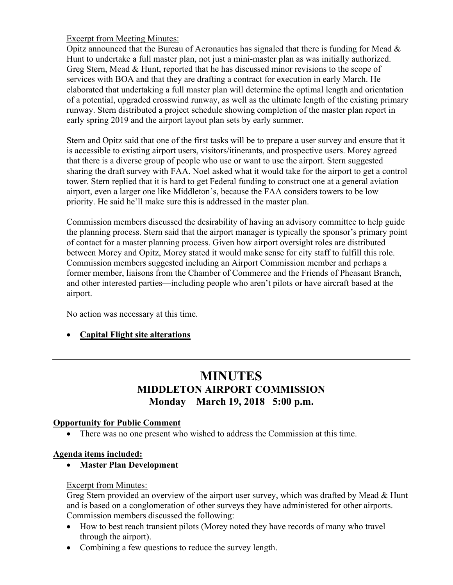# Excerpt from Meeting Minutes:

Opitz announced that the Bureau of Aeronautics has signaled that there is funding for Mead  $\&$ Hunt to undertake a full master plan, not just a mini-master plan as was initially authorized. Greg Stern, Mead & Hunt, reported that he has discussed minor revisions to the scope of services with BOA and that they are drafting a contract for execution in early March. He elaborated that undertaking a full master plan will determine the optimal length and orientation of a potential, upgraded crosswind runway, as well as the ultimate length of the existing primary runway. Stern distributed a project schedule showing completion of the master plan report in early spring 2019 and the airport layout plan sets by early summer.

Stern and Opitz said that one of the first tasks will be to prepare a user survey and ensure that it is accessible to existing airport users, visitors/itinerants, and prospective users. Morey agreed that there is a diverse group of people who use or want to use the airport. Stern suggested sharing the draft survey with FAA. Noel asked what it would take for the airport to get a control tower. Stern replied that it is hard to get Federal funding to construct one at a general aviation airport, even a larger one like Middleton's, because the FAA considers towers to be low priority. He said he'll make sure this is addressed in the master plan.

Commission members discussed the desirability of having an advisory committee to help guide the planning process. Stern said that the airport manager is typically the sponsor's primary point of contact for a master planning process. Given how airport oversight roles are distributed between Morey and Opitz, Morey stated it would make sense for city staff to fulfill this role. Commission members suggested including an Airport Commission member and perhaps a former member, liaisons from the Chamber of Commerce and the Friends of Pheasant Branch, and other interested parties—including people who aren't pilots or have aircraft based at the airport.

No action was necessary at this time.

# • Capital Flight site alterations

# MINUTES MIDDLETON AIRPORT COMMISSION Monday March 19, 2018 5:00 p.m.

# Opportunity for Public Comment

There was no one present who wished to address the Commission at this time.

# Agenda items included:

Master Plan Development

# Excerpt from Minutes:

Greg Stern provided an overview of the airport user survey, which was drafted by Mead & Hunt and is based on a conglomeration of other surveys they have administered for other airports. Commission members discussed the following:

- How to best reach transient pilots (Morey noted they have records of many who travel through the airport).
- Combining a few questions to reduce the survey length.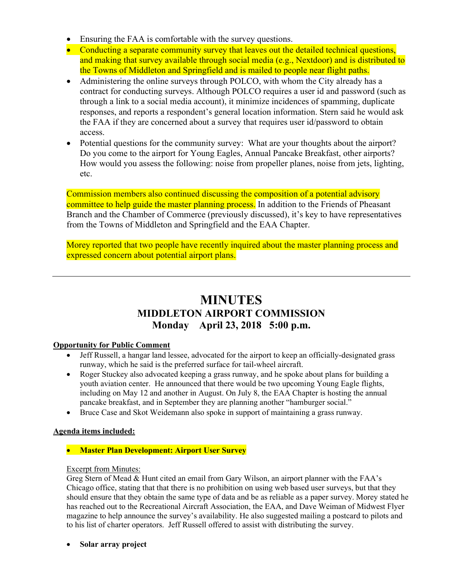- Ensuring the FAA is comfortable with the survey questions.
- Conducting a separate community survey that leaves out the detailed technical questions, and making that survey available through social media (e.g., Nextdoor) and is distributed to the Towns of Middleton and Springfield and is mailed to people near flight paths.
- Administering the online surveys through POLCO, with whom the City already has a contract for conducting surveys. Although POLCO requires a user id and password (such as through a link to a social media account), it minimize incidences of spamming, duplicate responses, and reports a respondent's general location information. Stern said he would ask the FAA if they are concerned about a survey that requires user id/password to obtain access.
- Potential questions for the community survey: What are your thoughts about the airport? Do you come to the airport for Young Eagles, Annual Pancake Breakfast, other airports? How would you assess the following: noise from propeller planes, noise from jets, lighting, etc.

Commission members also continued discussing the composition of a potential advisory committee to help guide the master planning process. In addition to the Friends of Pheasant Branch and the Chamber of Commerce (previously discussed), it's key to have representatives from the Towns of Middleton and Springfield and the EAA Chapter.

Morey reported that two people have recently inquired about the master planning process and expressed concern about potential airport plans.

# MINUTES MIDDLETON AIRPORT COMMISSION Monday April 23, 2018 5:00 p.m.

#### Opportunity for Public Comment

- Jeff Russell, a hangar land lessee, advocated for the airport to keep an officially-designated grass runway, which he said is the preferred surface for tail-wheel aircraft.
- Roger Stuckey also advocated keeping a grass runway, and he spoke about plans for building a youth aviation center. He announced that there would be two upcoming Young Eagle flights, including on May 12 and another in August. On July 8, the EAA Chapter is hosting the annual pancake breakfast, and in September they are planning another "hamburger social."
- Bruce Case and Skot Weidemann also spoke in support of maintaining a grass runway.

#### Agenda items included:

# • Master Plan Development: Airport User Survey

#### Excerpt from Minutes:

Greg Stern of Mead & Hunt cited an email from Gary Wilson, an airport planner with the FAA's Chicago office, stating that that there is no prohibition on using web based user surveys, but that they should ensure that they obtain the same type of data and be as reliable as a paper survey. Morey stated he has reached out to the Recreational Aircraft Association, the EAA, and Dave Weiman of Midwest Flyer magazine to help announce the survey's availability. He also suggested mailing a postcard to pilots and to his list of charter operators. Jeff Russell offered to assist with distributing the survey.

• Solar array project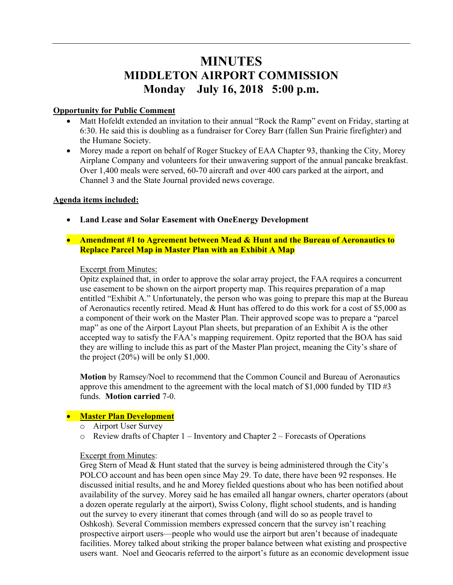# **MINUTES** MIDDLETON AIRPORT COMMISSION Monday July 16, 2018 5:00 p.m.

#### Opportunity for Public Comment

- Matt Hofeldt extended an invitation to their annual "Rock the Ramp" event on Friday, starting at 6:30. He said this is doubling as a fundraiser for Corey Barr (fallen Sun Prairie firefighter) and the Humane Society.
- Morey made a report on behalf of Roger Stuckey of EAA Chapter 93, thanking the City, Morey Airplane Company and volunteers for their unwavering support of the annual pancake breakfast. Over 1,400 meals were served, 60-70 aircraft and over 400 cars parked at the airport, and Channel 3 and the State Journal provided news coverage.

#### Agenda items included:

- Land Lease and Solar Easement with OneEnergy Development
- Amendment #1 to Agreement between Mead & Hunt and the Bureau of Aeronautics to Replace Parcel Map in Master Plan with an Exhibit A Map

#### Excerpt from Minutes:

Opitz explained that, in order to approve the solar array project, the FAA requires a concurrent use easement to be shown on the airport property map. This requires preparation of a map entitled "Exhibit A." Unfortunately, the person who was going to prepare this map at the Bureau of Aeronautics recently retired. Mead & Hunt has offered to do this work for a cost of \$5,000 as a component of their work on the Master Plan. Their approved scope was to prepare a "parcel map" as one of the Airport Layout Plan sheets, but preparation of an Exhibit A is the other accepted way to satisfy the FAA's mapping requirement. Opitz reported that the BOA has said they are willing to include this as part of the Master Plan project, meaning the City's share of the project (20%) will be only \$1,000.

Motion by Ramsey/Noel to recommend that the Common Council and Bureau of Aeronautics approve this amendment to the agreement with the local match of \$1,000 funded by TID  $\#3$ funds. Motion carried 7-0.

#### **• Master Plan Development**

- o Airport User Survey
- $\circ$  Review drafts of Chapter 1 Inventory and Chapter 2 Forecasts of Operations

#### Excerpt from Minutes:

Greg Stern of Mead & Hunt stated that the survey is being administered through the City's POLCO account and has been open since May 29. To date, there have been 92 responses. He discussed initial results, and he and Morey fielded questions about who has been notified about availability of the survey. Morey said he has emailed all hangar owners, charter operators (about a dozen operate regularly at the airport), Swiss Colony, flight school students, and is handing out the survey to every itinerant that comes through (and will do so as people travel to Oshkosh). Several Commission members expressed concern that the survey isn't reaching prospective airport users—people who would use the airport but aren't because of inadequate facilities. Morey talked about striking the proper balance between what existing and prospective users want. Noel and Geocaris referred to the airport's future as an economic development issue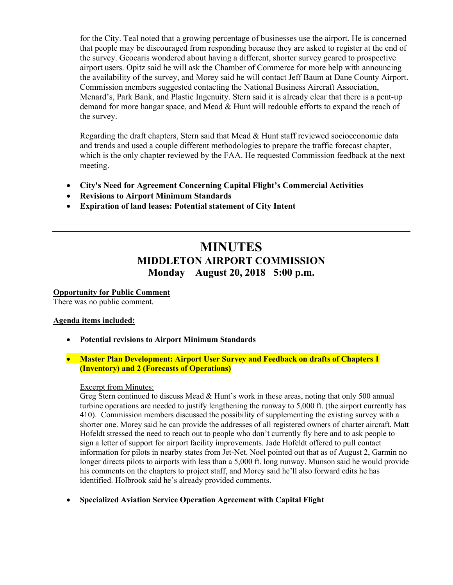for the City. Teal noted that a growing percentage of businesses use the airport. He is concerned that people may be discouraged from responding because they are asked to register at the end of the survey. Geocaris wondered about having a different, shorter survey geared to prospective airport users. Opitz said he will ask the Chamber of Commerce for more help with announcing the availability of the survey, and Morey said he will contact Jeff Baum at Dane County Airport. Commission members suggested contacting the National Business Aircraft Association, Menard's, Park Bank, and Plastic Ingenuity. Stern said it is already clear that there is a pent-up demand for more hangar space, and Mead & Hunt will redouble efforts to expand the reach of the survey.

Regarding the draft chapters, Stern said that Mead & Hunt staff reviewed socioeconomic data and trends and used a couple different methodologies to prepare the traffic forecast chapter, which is the only chapter reviewed by the FAA. He requested Commission feedback at the next meeting.

- City's Need for Agreement Concerning Capital Flight's Commercial Activities
- Revisions to Airport Minimum Standards
- Expiration of land leases: Potential statement of City Intent

# MINUTES MIDDLETON AIRPORT COMMISSION Monday August 20, 2018 5:00 p.m.

Opportunity for Public Comment There was no public comment.

#### Agenda items included:

Potential revisions to Airport Minimum Standards

#### **Master Plan Development: Airport User Survey and Feedback on drafts of Chapters 1** (Inventory) and 2 (Forecasts of Operations)

#### Excerpt from Minutes:

Greg Stern continued to discuss Mead  $&$  Hunt's work in these areas, noting that only 500 annual turbine operations are needed to justify lengthening the runway to 5,000 ft. (the airport currently has 410). Commission members discussed the possibility of supplementing the existing survey with a shorter one. Morey said he can provide the addresses of all registered owners of charter aircraft. Matt Hofeldt stressed the need to reach out to people who don't currently fly here and to ask people to sign a letter of support for airport facility improvements. Jade Hofeldt offered to pull contact information for pilots in nearby states from Jet-Net. Noel pointed out that as of August 2, Garmin no longer directs pilots to airports with less than a 5,000 ft. long runway. Munson said he would provide his comments on the chapters to project staff, and Morey said he'll also forward edits he has identified. Holbrook said he's already provided comments.

Specialized Aviation Service Operation Agreement with Capital Flight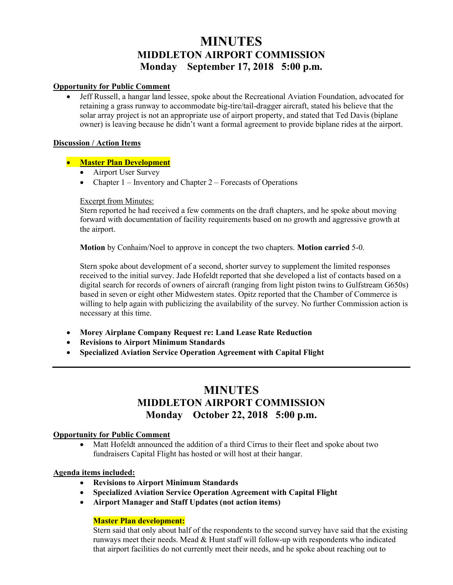# **MINUTES** MIDDLETON AIRPORT COMMISSION Monday September 17, 2018 5:00 p.m.

#### Opportunity for Public Comment

• Jeff Russell, a hangar land lessee, spoke about the Recreational Aviation Foundation, advocated for retaining a grass runway to accommodate big-tire/tail-dragger aircraft, stated his believe that the solar array project is not an appropriate use of airport property, and stated that Ted Davis (biplane owner) is leaving because he didn't want a formal agreement to provide biplane rides at the airport.

#### Discussion / Action Items

#### **• Master Plan Development**

- Airport User Survey
- Chapter  $1$  Inventory and Chapter  $2$  Forecasts of Operations

#### Excerpt from Minutes:

Stern reported he had received a few comments on the draft chapters, and he spoke about moving forward with documentation of facility requirements based on no growth and aggressive growth at the airport.

Motion by Conhaim/Noel to approve in concept the two chapters. Motion carried 5-0.

Stern spoke about development of a second, shorter survey to supplement the limited responses received to the initial survey. Jade Hofeldt reported that she developed a list of contacts based on a digital search for records of owners of aircraft (ranging from light piston twins to Gulfstream G650s) based in seven or eight other Midwestern states. Opitz reported that the Chamber of Commerce is willing to help again with publicizing the availability of the survey. No further Commission action is necessary at this time.

- Morey Airplane Company Request re: Land Lease Rate Reduction
- Revisions to Airport Minimum Standards
- Specialized Aviation Service Operation Agreement with Capital Flight

# **MINUTES** MIDDLETON AIRPORT COMMISSION Monday October 22, 2018 5:00 p.m.

#### Opportunity for Public Comment

 Matt Hofeldt announced the addition of a third Cirrus to their fleet and spoke about two fundraisers Capital Flight has hosted or will host at their hangar.

#### Agenda items included:

- Revisions to Airport Minimum Standards
- Specialized Aviation Service Operation Agreement with Capital Flight
- Airport Manager and Staff Updates (not action items)

#### Master Plan development:

Stern said that only about half of the respondents to the second survey have said that the existing runways meet their needs. Mead & Hunt staff will follow-up with respondents who indicated that airport facilities do not currently meet their needs, and he spoke about reaching out to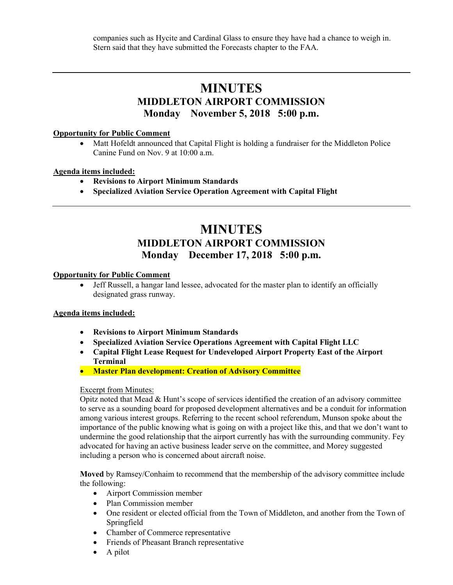companies such as Hycite and Cardinal Glass to ensure they have had a chance to weigh in. Stern said that they have submitted the Forecasts chapter to the FAA.

# MINUTES MIDDLETON AIRPORT COMMISSION Monday November 5, 2018 5:00 p.m.

#### Opportunity for Public Comment

• Matt Hofeldt announced that Capital Flight is holding a fundraiser for the Middleton Police Canine Fund on Nov. 9 at 10:00 a.m.

#### Agenda items included:

- Revisions to Airport Minimum Standards
- Specialized Aviation Service Operation Agreement with Capital Flight

# **MINUTES** MIDDLETON AIRPORT COMMISSION Monday December 17, 2018 5:00 p.m.

#### Opportunity for Public Comment

 Jeff Russell, a hangar land lessee, advocated for the master plan to identify an officially designated grass runway.

#### Agenda items included:

- Revisions to Airport Minimum Standards
- Specialized Aviation Service Operations Agreement with Capital Flight LLC
- Capital Flight Lease Request for Undeveloped Airport Property East of the Airport Terminal
- Master Plan development: Creation of Advisory Committee

#### Excerpt from Minutes:

Opitz noted that Mead & Hunt's scope of services identified the creation of an advisory committee to serve as a sounding board for proposed development alternatives and be a conduit for information among various interest groups. Referring to the recent school referendum, Munson spoke about the importance of the public knowing what is going on with a project like this, and that we don't want to undermine the good relationship that the airport currently has with the surrounding community. Fey advocated for having an active business leader serve on the committee, and Morey suggested including a person who is concerned about aircraft noise.

Moved by Ramsey/Conhaim to recommend that the membership of the advisory committee include the following:

- Airport Commission member
- Plan Commission member
- One resident or elected official from the Town of Middleton, and another from the Town of Springfield
- Chamber of Commerce representative
- Friends of Pheasant Branch representative
- $\bullet$  A pilot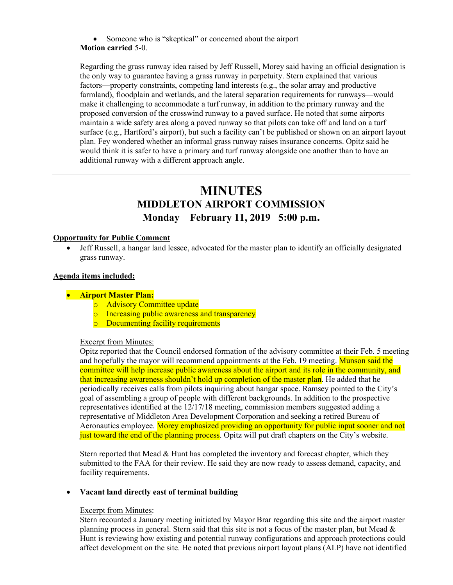• Someone who is "skeptical" or concerned about the airport

### Motion carried 5-0.

Regarding the grass runway idea raised by Jeff Russell, Morey said having an official designation is the only way to guarantee having a grass runway in perpetuity. Stern explained that various factors—property constraints, competing land interests (e.g., the solar array and productive farmland), floodplain and wetlands, and the lateral separation requirements for runways—would make it challenging to accommodate a turf runway, in addition to the primary runway and the proposed conversion of the crosswind runway to a paved surface. He noted that some airports maintain a wide safety area along a paved runway so that pilots can take off and land on a turf surface (e.g., Hartford's airport), but such a facility can't be published or shown on an airport layout plan. Fey wondered whether an informal grass runway raises insurance concerns. Opitz said he would think it is safer to have a primary and turf runway alongside one another than to have an additional runway with a different approach angle.

# MINUTES MIDDLETON AIRPORT COMMISSION Monday February 11, 2019 5:00 p.m.

#### Opportunity for Public Comment

 Jeff Russell, a hangar land lessee, advocated for the master plan to identify an officially designated grass runway.

#### Agenda items included:

#### **•** Airport Master Plan:

- o Advisory Committee update
- o Increasing public awareness and transparency
- o Documenting facility requirements

#### Excerpt from Minutes:

Opitz reported that the Council endorsed formation of the advisory committee at their Feb. 5 meeting and hopefully the mayor will recommend appointments at the Feb. 19 meeting. Munson said the committee will help increase public awareness about the airport and its role in the community, and that increasing awareness shouldn't hold up completion of the master plan. He added that he periodically receives calls from pilots inquiring about hangar space. Ramsey pointed to the City's goal of assembling a group of people with different backgrounds. In addition to the prospective representatives identified at the 12/17/18 meeting, commission members suggested adding a representative of Middleton Area Development Corporation and seeking a retired Bureau of Aeronautics employee. Morey emphasized providing an opportunity for public input sooner and not just toward the end of the planning process. Opitz will put draft chapters on the City's website.

Stern reported that Mead & Hunt has completed the inventory and forecast chapter, which they submitted to the FAA for their review. He said they are now ready to assess demand, capacity, and facility requirements.

#### Vacant land directly east of terminal building

#### Excerpt from Minutes:

Stern recounted a January meeting initiated by Mayor Brar regarding this site and the airport master planning process in general. Stern said that this site is not a focus of the master plan, but Mead  $\&$ Hunt is reviewing how existing and potential runway configurations and approach protections could affect development on the site. He noted that previous airport layout plans (ALP) have not identified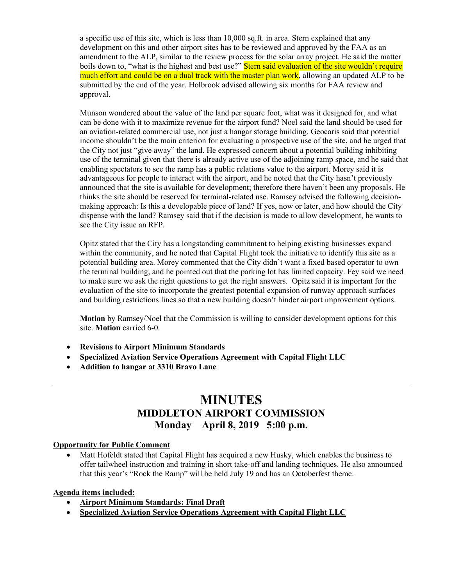a specific use of this site, which is less than 10,000 sq.ft. in area. Stern explained that any development on this and other airport sites has to be reviewed and approved by the FAA as an amendment to the ALP, similar to the review process for the solar array project. He said the matter boils down to, "what is the highest and best use?" Stern said evaluation of the site wouldn't require much effort and could be on a dual track with the master plan work, allowing an updated ALP to be submitted by the end of the year. Holbrook advised allowing six months for FAA review and approval.

Munson wondered about the value of the land per square foot, what was it designed for, and what can be done with it to maximize revenue for the airport fund? Noel said the land should be used for an aviation-related commercial use, not just a hangar storage building. Geocaris said that potential income shouldn't be the main criterion for evaluating a prospective use of the site, and he urged that the City not just "give away" the land. He expressed concern about a potential building inhibiting use of the terminal given that there is already active use of the adjoining ramp space, and he said that enabling spectators to see the ramp has a public relations value to the airport. Morey said it is advantageous for people to interact with the airport, and he noted that the City hasn't previously announced that the site is available for development; therefore there haven't been any proposals. He thinks the site should be reserved for terminal-related use. Ramsey advised the following decisionmaking approach: Is this a developable piece of land? If yes, now or later, and how should the City dispense with the land? Ramsey said that if the decision is made to allow development, he wants to see the City issue an RFP.

Opitz stated that the City has a longstanding commitment to helping existing businesses expand within the community, and he noted that Capital Flight took the initiative to identify this site as a potential building area. Morey commented that the City didn't want a fixed based operator to own the terminal building, and he pointed out that the parking lot has limited capacity. Fey said we need to make sure we ask the right questions to get the right answers. Opitz said it is important for the evaluation of the site to incorporate the greatest potential expansion of runway approach surfaces and building restrictions lines so that a new building doesn't hinder airport improvement options.

Motion by Ramsey/Noel that the Commission is willing to consider development options for this site. Motion carried 6-0.

- Revisions to Airport Minimum Standards
- Specialized Aviation Service Operations Agreement with Capital Flight LLC
- Addition to hangar at 3310 Bravo Lane

# MINUTES MIDDLETON AIRPORT COMMISSION Monday April 8, 2019 5:00 p.m.

#### Opportunity for Public Comment

• Matt Hofeldt stated that Capital Flight has acquired a new Husky, which enables the business to offer tailwheel instruction and training in short take-off and landing techniques. He also announced that this year's "Rock the Ramp" will be held July 19 and has an Octoberfest theme.

#### Agenda items included:

- Airport Minimum Standards: Final Draft
- Specialized Aviation Service Operations Agreement with Capital Flight LLC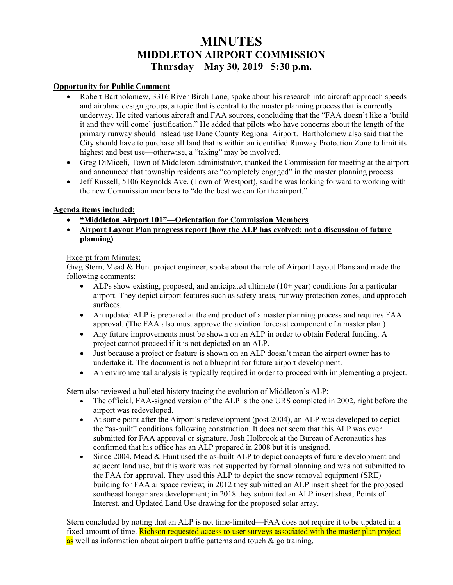# **MINUTES** MIDDLETON AIRPORT COMMISSION Thursday May 30, 2019 5:30 p.m.

#### Opportunity for Public Comment

- Robert Bartholomew, 3316 River Birch Lane, spoke about his research into aircraft approach speeds and airplane design groups, a topic that is central to the master planning process that is currently underway. He cited various aircraft and FAA sources, concluding that the "FAA doesn't like a 'build it and they will come' justification." He added that pilots who have concerns about the length of the primary runway should instead use Dane County Regional Airport. Bartholomew also said that the City should have to purchase all land that is within an identified Runway Protection Zone to limit its highest and best use—otherwise, a "taking" may be involved.
- Greg DiMiceli, Town of Middleton administrator, thanked the Commission for meeting at the airport and announced that township residents are "completely engaged" in the master planning process.
- Jeff Russell, 5106 Reynolds Ave. (Town of Westport), said he was looking forward to working with the new Commission members to "do the best we can for the airport."

#### Agenda items included:

- "Middleton Airport 101"—Orientation for Commission Members
- Airport Layout Plan progress report (how the ALP has evolved; not a discussion of future planning)

#### Excerpt from Minutes:

Greg Stern, Mead & Hunt project engineer, spoke about the role of Airport Layout Plans and made the following comments:

- ALPs show existing, proposed, and anticipated ultimate  $(10+$  year) conditions for a particular airport. They depict airport features such as safety areas, runway protection zones, and approach surfaces.
- An updated ALP is prepared at the end product of a master planning process and requires FAA approval. (The FAA also must approve the aviation forecast component of a master plan.)
- Any future improvements must be shown on an ALP in order to obtain Federal funding. A project cannot proceed if it is not depicted on an ALP.
- Just because a project or feature is shown on an ALP doesn't mean the airport owner has to undertake it. The document is not a blueprint for future airport development.
- An environmental analysis is typically required in order to proceed with implementing a project.

Stern also reviewed a bulleted history tracing the evolution of Middleton's ALP:

- The official, FAA-signed version of the ALP is the one URS completed in 2002, right before the airport was redeveloped.
- At some point after the Airport's redevelopment (post-2004), an ALP was developed to depict the "as-built" conditions following construction. It does not seem that this ALP was ever submitted for FAA approval or signature. Josh Holbrook at the Bureau of Aeronautics has confirmed that his office has an ALP prepared in 2008 but it is unsigned.
- Since 2004, Mead & Hunt used the as-built ALP to depict concepts of future development and adjacent land use, but this work was not supported by formal planning and was not submitted to the FAA for approval. They used this ALP to depict the snow removal equipment (SRE) building for FAA airspace review; in 2012 they submitted an ALP insert sheet for the proposed southeast hangar area development; in 2018 they submitted an ALP insert sheet, Points of Interest, and Updated Land Use drawing for the proposed solar array.

Stern concluded by noting that an ALP is not time-limited—FAA does not require it to be updated in a fixed amount of time. Richson requested access to user surveys associated with the master plan project as well as information about airport traffic patterns and touch  $\&$  go training.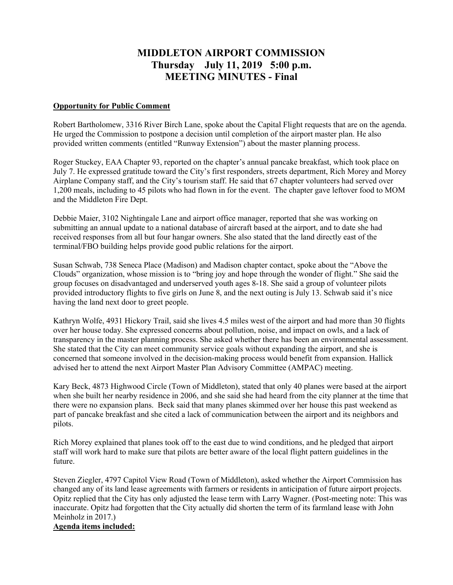# MIDDLETON AIRPORT COMMISSION Thursday July 11, 2019 5:00 p.m. MEETING MINUTES - Final

#### Opportunity for Public Comment

Robert Bartholomew, 3316 River Birch Lane, spoke about the Capital Flight requests that are on the agenda. He urged the Commission to postpone a decision until completion of the airport master plan. He also provided written comments (entitled "Runway Extension") about the master planning process.

Roger Stuckey, EAA Chapter 93, reported on the chapter's annual pancake breakfast, which took place on July 7. He expressed gratitude toward the City's first responders, streets department, Rich Morey and Morey Airplane Company staff, and the City's tourism staff. He said that 67 chapter volunteers had served over 1,200 meals, including to 45 pilots who had flown in for the event. The chapter gave leftover food to MOM and the Middleton Fire Dept.

Debbie Maier, 3102 Nightingale Lane and airport office manager, reported that she was working on submitting an annual update to a national database of aircraft based at the airport, and to date she had received responses from all but four hangar owners. She also stated that the land directly east of the terminal/FBO building helps provide good public relations for the airport.

Susan Schwab, 738 Seneca Place (Madison) and Madison chapter contact, spoke about the "Above the Clouds" organization, whose mission is to "bring joy and hope through the wonder of flight." She said the group focuses on disadvantaged and underserved youth ages 8-18. She said a group of volunteer pilots provided introductory flights to five girls on June 8, and the next outing is July 13. Schwab said it's nice having the land next door to greet people.

Kathryn Wolfe, 4931 Hickory Trail, said she lives 4.5 miles west of the airport and had more than 30 flights over her house today. She expressed concerns about pollution, noise, and impact on owls, and a lack of transparency in the master planning process. She asked whether there has been an environmental assessment. She stated that the City can meet community service goals without expanding the airport, and she is concerned that someone involved in the decision-making process would benefit from expansion. Hallick advised her to attend the next Airport Master Plan Advisory Committee (AMPAC) meeting.

Kary Beck, 4873 Highwood Circle (Town of Middleton), stated that only 40 planes were based at the airport when she built her nearby residence in 2006, and she said she had heard from the city planner at the time that there were no expansion plans. Beck said that many planes skimmed over her house this past weekend as part of pancake breakfast and she cited a lack of communication between the airport and its neighbors and pilots.

Rich Morey explained that planes took off to the east due to wind conditions, and he pledged that airport staff will work hard to make sure that pilots are better aware of the local flight pattern guidelines in the future.

Steven Ziegler, 4797 Capitol View Road (Town of Middleton), asked whether the Airport Commission has changed any of its land lease agreements with farmers or residents in anticipation of future airport projects. Opitz replied that the City has only adjusted the lease term with Larry Wagner. (Post-meeting note: This was inaccurate. Opitz had forgotten that the City actually did shorten the term of its farmland lease with John Meinholz in 2017.)

#### Agenda items included: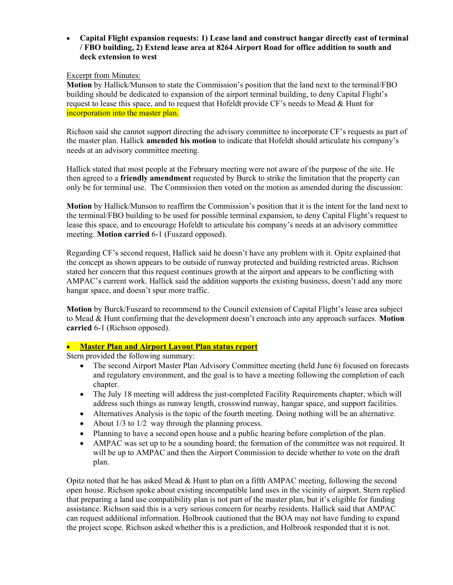Capital Flight expansion requests: 1) Lease land and construct hangar directly east of terminal / FBO building, 2) Extend lease area at 8264 Airport Road for office addition to south and deck extension to west

#### Excerpt from Minutes:

Motion by Hallick/Munson to state the Commission's position that the land next to the terminal/FBO building should be dedicated to expansion of the airport terminal building, to deny Capital Flight's request to lease this space, and to request that Hofeldt provide CF's needs to Mead & Hunt for incorporation into the master plan.

Richson said she cannot support directing the advisory committee to incorporate CF's requests as part of the master plan. Hallick **amended his motion** to indicate that Hofeldt should articulate his company's needs at an advisory committee meeting.

Hallick stated that most people at the February meeting were not aware of the purpose of the site. He then agreed to a friendly amendment requested by Burck to strike the limitation that the property can only be for terminal use. The Commission then voted on the motion as amended during the discussion:

Motion by Hallick/Munson to reaffirm the Commission's position that it is the intent for the land next to the terminal/FBO building to be used for possible terminal expansion, to deny Capital Flight's request to lease this space, and to encourage Hofeldt to articulate his company's needs at an advisory committee meeting. Motion carried 6-1 (Fuszard opposed).

Regarding CF's second request, Hallick said he doesn't have any problem with it. Opitz explained that the concept as shown appears to be outside of runway protected and building restricted areas. Richson stated her concern that this request continues growth at the airport and appears to be conflicting with AMPAC's current work. Hallick said the addition supports the existing business, doesn't add any more hangar space, and doesn't spur more traffic.

Motion by Burck/Fuszard to recommend to the Council extension of Capital Flight's lease area subject to Mead & Hunt confirming that the development doesn't encroach into any approach surfaces. Motion carried 6-1 (Richson opposed).

#### • Master Plan and Airport Layout Plan status report

Stern provided the following summary:

- The second Airport Master Plan Advisory Committee meeting (held June 6) focused on forecasts and regulatory environment, and the goal is to have a meeting following the completion of each chapter.
- The July 18 meeting will address the just-completed Facility Requirements chapter, which will address such things as runway length, crosswind runway, hangar space, and support facilities.
- Alternatives Analysis is the topic of the fourth meeting. Doing nothing will be an alternative.
- About  $1/3$  to  $1/2$  way through the planning process.
- Planning to have a second open house and a public hearing before completion of the plan.
- AMPAC was set up to be a sounding board; the formation of the committee was not required. It will be up to AMPAC and then the Airport Commission to decide whether to vote on the draft plan.

Opitz noted that he has asked Mead  $&$  Hunt to plan on a fifth AMPAC meeting, following the second open house. Richson spoke about existing incompatible land uses in the vicinity of airport. Stern replied that preparing a land use compatibility plan is not part of the master plan, but it's eligible for funding assistance. Richson said this is a very serious concern for nearby residents. Hallick said that AMPAC can request additional information. Holbrook cautioned that the BOA may not have funding to expand the project scope. Richson asked whether this is a prediction, and Holbrook responded that it is not.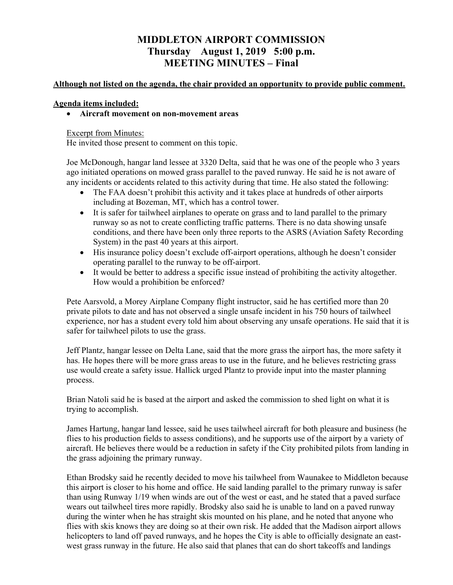# MIDDLETON AIRPORT COMMISSION Thursday August 1, 2019 5:00 p.m. MEETING MINUTES – Final

#### Although not listed on the agenda, the chair provided an opportunity to provide public comment.

#### Agenda items included:

#### Aircraft movement on non-movement areas

#### Excerpt from Minutes:

He invited those present to comment on this topic.

Joe McDonough, hangar land lessee at 3320 Delta, said that he was one of the people who 3 years ago initiated operations on mowed grass parallel to the paved runway. He said he is not aware of any incidents or accidents related to this activity during that time. He also stated the following:

- The FAA doesn't prohibit this activity and it takes place at hundreds of other airports including at Bozeman, MT, which has a control tower.
- It is safer for tailwheel airplanes to operate on grass and to land parallel to the primary runway so as not to create conflicting traffic patterns. There is no data showing unsafe conditions, and there have been only three reports to the ASRS (Aviation Safety Recording System) in the past 40 years at this airport.
- His insurance policy doesn't exclude off-airport operations, although he doesn't consider operating parallel to the runway to be off-airport.
- It would be better to address a specific issue instead of prohibiting the activity altogether. How would a prohibition be enforced?

Pete Aarsvold, a Morey Airplane Company flight instructor, said he has certified more than 20 private pilots to date and has not observed a single unsafe incident in his 750 hours of tailwheel experience, nor has a student every told him about observing any unsafe operations. He said that it is safer for tailwheel pilots to use the grass.

Jeff Plantz, hangar lessee on Delta Lane, said that the more grass the airport has, the more safety it has. He hopes there will be more grass areas to use in the future, and he believes restricting grass use would create a safety issue. Hallick urged Plantz to provide input into the master planning process.

Brian Natoli said he is based at the airport and asked the commission to shed light on what it is trying to accomplish.

James Hartung, hangar land lessee, said he uses tailwheel aircraft for both pleasure and business (he flies to his production fields to assess conditions), and he supports use of the airport by a variety of aircraft. He believes there would be a reduction in safety if the City prohibited pilots from landing in the grass adjoining the primary runway.

Ethan Brodsky said he recently decided to move his tailwheel from Waunakee to Middleton because this airport is closer to his home and office. He said landing parallel to the primary runway is safer than using Runway 1/19 when winds are out of the west or east, and he stated that a paved surface wears out tailwheel tires more rapidly. Brodsky also said he is unable to land on a paved runway during the winter when he has straight skis mounted on his plane, and he noted that anyone who flies with skis knows they are doing so at their own risk. He added that the Madison airport allows helicopters to land off paved runways, and he hopes the City is able to officially designate an eastwest grass runway in the future. He also said that planes that can do short takeoffs and landings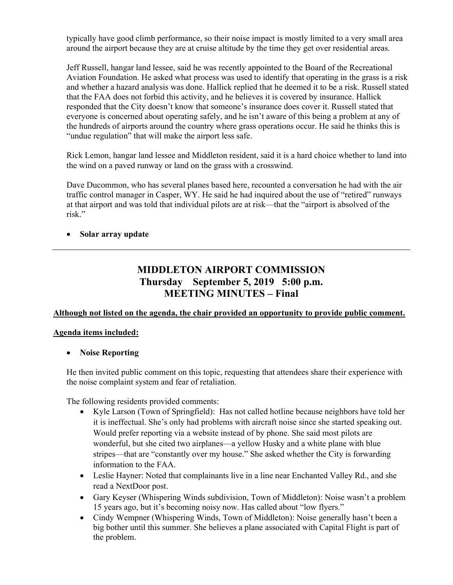typically have good climb performance, so their noise impact is mostly limited to a very small area around the airport because they are at cruise altitude by the time they get over residential areas.

Jeff Russell, hangar land lessee, said he was recently appointed to the Board of the Recreational Aviation Foundation. He asked what process was used to identify that operating in the grass is a risk and whether a hazard analysis was done. Hallick replied that he deemed it to be a risk. Russell stated that the FAA does not forbid this activity, and he believes it is covered by insurance. Hallick responded that the City doesn't know that someone's insurance does cover it. Russell stated that everyone is concerned about operating safely, and he isn't aware of this being a problem at any of the hundreds of airports around the country where grass operations occur. He said he thinks this is "undue regulation" that will make the airport less safe.

Rick Lemon, hangar land lessee and Middleton resident, said it is a hard choice whether to land into the wind on a paved runway or land on the grass with a crosswind.

Dave Ducommon, who has several planes based here, recounted a conversation he had with the air traffic control manager in Casper, WY. He said he had inquired about the use of "retired" runways at that airport and was told that individual pilots are at risk—that the "airport is absolved of the risk."

### • Solar array update

# MIDDLETON AIRPORT COMMISSION Thursday September 5, 2019 5:00 p.m. MEETING MINUTES – Final

#### Although not listed on the agenda, the chair provided an opportunity to provide public comment.

#### Agenda items included:

#### • Noise Reporting

He then invited public comment on this topic, requesting that attendees share their experience with the noise complaint system and fear of retaliation.

The following residents provided comments:

- Kyle Larson (Town of Springfield): Has not called hotline because neighbors have told her it is ineffectual. She's only had problems with aircraft noise since she started speaking out. Would prefer reporting via a website instead of by phone. She said most pilots are wonderful, but she cited two airplanes—a yellow Husky and a white plane with blue stripes—that are "constantly over my house." She asked whether the City is forwarding information to the FAA.
- Leslie Hayner: Noted that complainants live in a line near Enchanted Valley Rd., and she read a NextDoor post.
- Gary Keyser (Whispering Winds subdivision, Town of Middleton): Noise wasn't a problem 15 years ago, but it's becoming noisy now. Has called about "low flyers."
- Cindy Wempner (Whispering Winds, Town of Middleton): Noise generally hasn't been a big bother until this summer. She believes a plane associated with Capital Flight is part of the problem.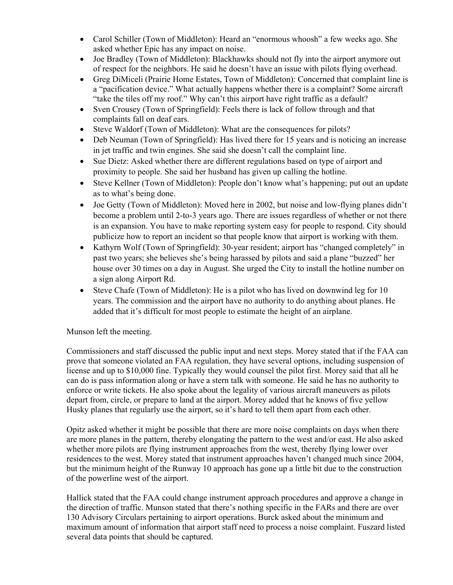- Carol Schiller (Town of Middleton): Heard an "enormous whoosh" a few weeks ago. She asked whether Epic has any impact on noise.
- Joe Bradley (Town of Middleton): Blackhawks should not fly into the airport anymore out of respect for the neighbors. He said he doesn't have an issue with pilots flying overhead.
- Greg DiMiceli (Prairie Home Estates, Town of Middleton): Concerned that complaint line is a "pacification device." What actually happens whether there is a complaint? Some aircraft "take the tiles off my roof." Why can't this airport have right traffic as a default?
- Sven Crousey (Town of Springfield): Feels there is lack of follow through and that complaints fall on deaf ears.
- Steve Waldorf (Town of Middleton): What are the consequences for pilots?
- Deb Neuman (Town of Springfield): Has lived there for 15 years and is noticing an increase in jet traffic and twin engines. She said she doesn't call the complaint line.
- Sue Dietz: Asked whether there are different regulations based on type of airport and proximity to people. She said her husband has given up calling the hotline.
- Steve Kellner (Town of Middleton): People don't know what's happening; put out an update as to what's being done.
- Joe Getty (Town of Middleton): Moved here in 2002, but noise and low-flying planes didn't become a problem until 2-to-3 years ago. There are issues regardless of whether or not there is an expansion. You have to make reporting system easy for people to respond. City should publicize how to report an incident so that people know that airport is working with them.
- Kathyrn Wolf (Town of Springfield): 30-year resident; airport has "changed completely" in past two years; she believes she's being harassed by pilots and said a plane "buzzed" her house over 30 times on a day in August. She urged the City to install the hotline number on a sign along Airport Rd.
- Steve Chafe (Town of Middleton): He is a pilot who has lived on downwind leg for 10 years. The commission and the airport have no authority to do anything about planes. He added that it's difficult for most people to estimate the height of an airplane.

#### Munson left the meeting.

Commissioners and staff discussed the public input and next steps. Morey stated that if the FAA can prove that someone violated an FAA regulation, they have several options, including suspension of license and up to \$10,000 fine. Typically they would counsel the pilot first. Morey said that all he can do is pass information along or have a stern talk with someone. He said he has no authority to enforce or write tickets. He also spoke about the legality of various aircraft maneuvers as pilots depart from, circle, or prepare to land at the airport. Morey added that he knows of five yellow Husky planes that regularly use the airport, so it's hard to tell them apart from each other.

Opitz asked whether it might be possible that there are more noise complaints on days when there are more planes in the pattern, thereby elongating the pattern to the west and/or east. He also asked whether more pilots are flying instrument approaches from the west, thereby flying lower over residences to the west. Morey stated that instrument approaches haven't changed much since 2004, but the minimum height of the Runway 10 approach has gone up a little bit due to the construction of the powerline west of the airport.

Hallick stated that the FAA could change instrument approach procedures and approve a change in the direction of traffic. Munson stated that there's nothing specific in the FARs and there are over 130 Advisory Circulars pertaining to airport operations. Burck asked about the minimum and maximum amount of information that airport staff need to process a noise complaint. Fuszard listed several data points that should be captured.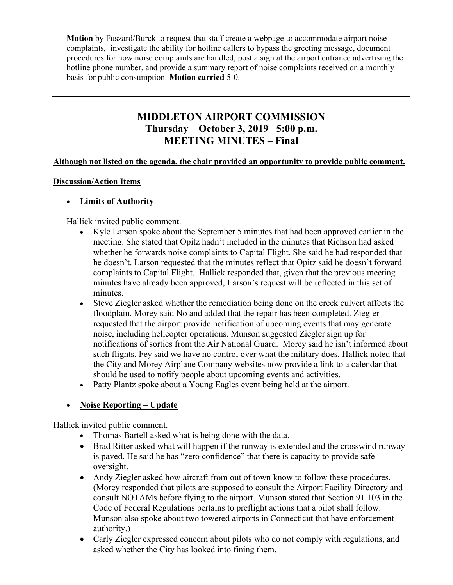Motion by Fuszard/Burck to request that staff create a webpage to accommodate airport noise complaints, investigate the ability for hotline callers to bypass the greeting message, document procedures for how noise complaints are handled, post a sign at the airport entrance advertising the hotline phone number, and provide a summary report of noise complaints received on a monthly basis for public consumption. Motion carried 5-0.

# MIDDLETON AIRPORT COMMISSION Thursday October 3, 2019 5:00 p.m. MEETING MINUTES – Final

#### Although not listed on the agenda, the chair provided an opportunity to provide public comment.

#### Discussion/Action Items

#### Limits of Authority

Hallick invited public comment.

- Kyle Larson spoke about the September 5 minutes that had been approved earlier in the meeting. She stated that Opitz hadn't included in the minutes that Richson had asked whether he forwards noise complaints to Capital Flight. She said he had responded that he doesn't. Larson requested that the minutes reflect that Opitz said he doesn't forward complaints to Capital Flight. Hallick responded that, given that the previous meeting minutes have already been approved, Larson's request will be reflected in this set of minutes.
- Steve Ziegler asked whether the remediation being done on the creek culvert affects the floodplain. Morey said No and added that the repair has been completed. Ziegler requested that the airport provide notification of upcoming events that may generate noise, including helicopter operations. Munson suggested Ziegler sign up for notifications of sorties from the Air National Guard. Morey said he isn't informed about such flights. Fey said we have no control over what the military does. Hallick noted that the City and Morey Airplane Company websites now provide a link to a calendar that should be used to nofify people about upcoming events and activities.
- Patty Plantz spoke about a Young Eagles event being held at the airport.

# Noise Reporting – Update

Hallick invited public comment.

- Thomas Bartell asked what is being done with the data.
- Brad Ritter asked what will happen if the runway is extended and the crosswind runway is paved. He said he has "zero confidence" that there is capacity to provide safe oversight.
- Andy Ziegler asked how aircraft from out of town know to follow these procedures. (Morey responded that pilots are supposed to consult the Airport Facility Directory and consult NOTAMs before flying to the airport. Munson stated that Section 91.103 in the Code of Federal Regulations pertains to preflight actions that a pilot shall follow. Munson also spoke about two towered airports in Connecticut that have enforcement authority.)
- Carly Ziegler expressed concern about pilots who do not comply with regulations, and asked whether the City has looked into fining them.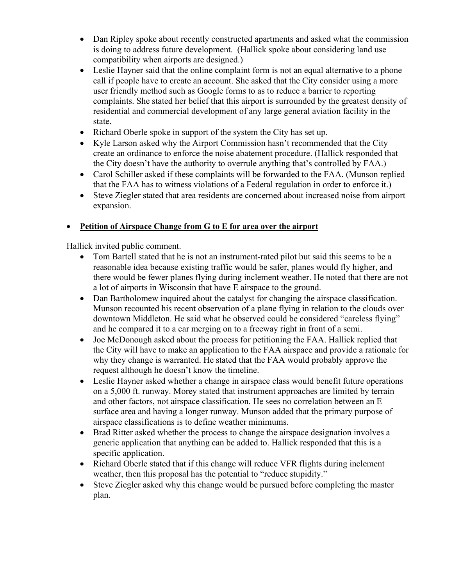- Dan Ripley spoke about recently constructed apartments and asked what the commission is doing to address future development. (Hallick spoke about considering land use compatibility when airports are designed.)
- Leslie Hayner said that the online complaint form is not an equal alternative to a phone call if people have to create an account. She asked that the City consider using a more user friendly method such as Google forms to as to reduce a barrier to reporting complaints. She stated her belief that this airport is surrounded by the greatest density of residential and commercial development of any large general aviation facility in the state.
- Richard Oberle spoke in support of the system the City has set up.
- Kyle Larson asked why the Airport Commission hasn't recommended that the City create an ordinance to enforce the noise abatement procedure. (Hallick responded that the City doesn't have the authority to overrule anything that's controlled by FAA.)
- Carol Schiller asked if these complaints will be forwarded to the FAA. (Munson replied that the FAA has to witness violations of a Federal regulation in order to enforce it.)
- Steve Ziegler stated that area residents are concerned about increased noise from airport expansion.

# Petition of Airspace Change from G to E for area over the airport

Hallick invited public comment.

- Tom Bartell stated that he is not an instrument-rated pilot but said this seems to be a reasonable idea because existing traffic would be safer, planes would fly higher, and there would be fewer planes flying during inclement weather. He noted that there are not a lot of airports in Wisconsin that have E airspace to the ground.
- Dan Bartholomew inquired about the catalyst for changing the airspace classification. Munson recounted his recent observation of a plane flying in relation to the clouds over downtown Middleton. He said what he observed could be considered "careless flying" and he compared it to a car merging on to a freeway right in front of a semi.
- Joe McDonough asked about the process for petitioning the FAA. Hallick replied that the City will have to make an application to the FAA airspace and provide a rationale for why they change is warranted. He stated that the FAA would probably approve the request although he doesn't know the timeline.
- Leslie Hayner asked whether a change in airspace class would benefit future operations on a 5,000 ft. runway. Morey stated that instrument approaches are limited by terrain and other factors, not airspace classification. He sees no correlation between an E surface area and having a longer runway. Munson added that the primary purpose of airspace classifications is to define weather minimums.
- Brad Ritter asked whether the process to change the airspace designation involves a generic application that anything can be added to. Hallick responded that this is a specific application.
- Richard Oberle stated that if this change will reduce VFR flights during inclement weather, then this proposal has the potential to "reduce stupidity."
- Steve Ziegler asked why this change would be pursued before completing the master plan.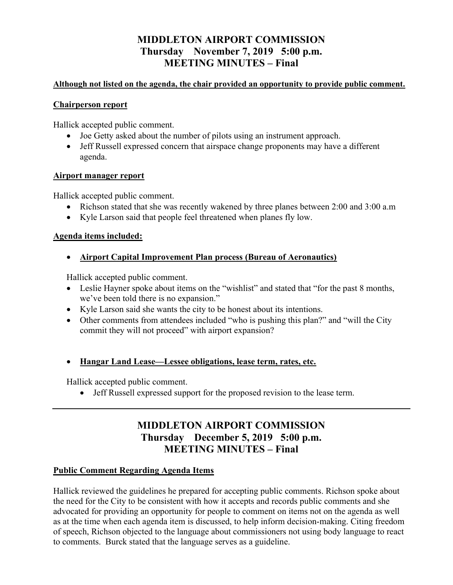# MIDDLETON AIRPORT COMMISSION Thursday November 7, 2019 5:00 p.m. MEETING MINUTES – Final

### Although not listed on the agenda, the chair provided an opportunity to provide public comment.

#### Chairperson report

Hallick accepted public comment.

- Joe Getty asked about the number of pilots using an instrument approach.
- Jeff Russell expressed concern that airspace change proponents may have a different agenda.

### Airport manager report

Hallick accepted public comment.

- Richson stated that she was recently wakened by three planes between 2:00 and 3:00 a.m
- Kyle Larson said that people feel threatened when planes fly low.

# Agenda items included:

Airport Capital Improvement Plan process (Bureau of Aeronautics)

Hallick accepted public comment.

- Leslie Hayner spoke about items on the "wishlist" and stated that "for the past 8 months, we've been told there is no expansion."
- Kyle Larson said she wants the city to be honest about its intentions.
- Other comments from attendees included "who is pushing this plan?" and "will the City commit they will not proceed" with airport expansion?
- Hangar Land Lease—Lessee obligations, lease term, rates, etc.

Hallick accepted public comment.

Jeff Russell expressed support for the proposed revision to the lease term.

# MIDDLETON AIRPORT COMMISSION Thursday December 5, 2019 5:00 p.m. MEETING MINUTES – Final

# Public Comment Regarding Agenda Items

Hallick reviewed the guidelines he prepared for accepting public comments. Richson spoke about the need for the City to be consistent with how it accepts and records public comments and she advocated for providing an opportunity for people to comment on items not on the agenda as well as at the time when each agenda item is discussed, to help inform decision-making. Citing freedom of speech, Richson objected to the language about commissioners not using body language to react to comments. Burck stated that the language serves as a guideline.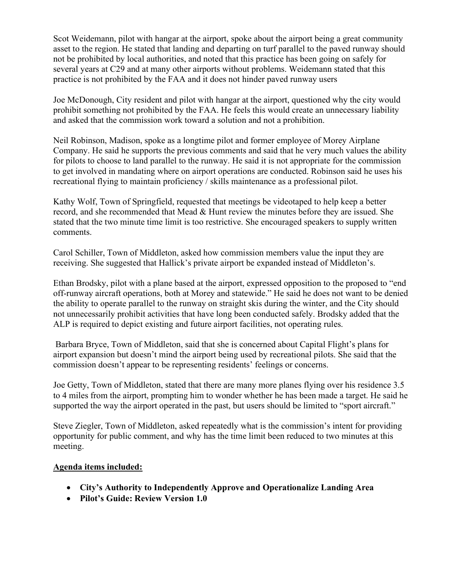Scot Weidemann, pilot with hangar at the airport, spoke about the airport being a great community asset to the region. He stated that landing and departing on turf parallel to the paved runway should not be prohibited by local authorities, and noted that this practice has been going on safely for several years at C29 and at many other airports without problems. Weidemann stated that this practice is not prohibited by the FAA and it does not hinder paved runway users

Joe McDonough, City resident and pilot with hangar at the airport, questioned why the city would prohibit something not prohibited by the FAA. He feels this would create an unnecessary liability and asked that the commission work toward a solution and not a prohibition.

Neil Robinson, Madison, spoke as a longtime pilot and former employee of Morey Airplane Company. He said he supports the previous comments and said that he very much values the ability for pilots to choose to land parallel to the runway. He said it is not appropriate for the commission to get involved in mandating where on airport operations are conducted. Robinson said he uses his recreational flying to maintain proficiency / skills maintenance as a professional pilot.

Kathy Wolf, Town of Springfield, requested that meetings be videotaped to help keep a better record, and she recommended that Mead & Hunt review the minutes before they are issued. She stated that the two minute time limit is too restrictive. She encouraged speakers to supply written comments.

Carol Schiller, Town of Middleton, asked how commission members value the input they are receiving. She suggested that Hallick's private airport be expanded instead of Middleton's.

Ethan Brodsky, pilot with a plane based at the airport, expressed opposition to the proposed to "end off-runway aircraft operations, both at Morey and statewide." He said he does not want to be denied the ability to operate parallel to the runway on straight skis during the winter, and the City should not unnecessarily prohibit activities that have long been conducted safely. Brodsky added that the ALP is required to depict existing and future airport facilities, not operating rules.

 Barbara Bryce, Town of Middleton, said that she is concerned about Capital Flight's plans for airport expansion but doesn't mind the airport being used by recreational pilots. She said that the commission doesn't appear to be representing residents' feelings or concerns.

Joe Getty, Town of Middleton, stated that there are many more planes flying over his residence 3.5 to 4 miles from the airport, prompting him to wonder whether he has been made a target. He said he supported the way the airport operated in the past, but users should be limited to "sport aircraft."

Steve Ziegler, Town of Middleton, asked repeatedly what is the commission's intent for providing opportunity for public comment, and why has the time limit been reduced to two minutes at this meeting.

# Agenda items included:

- City's Authority to Independently Approve and Operationalize Landing Area
- Pilot's Guide: Review Version 1.0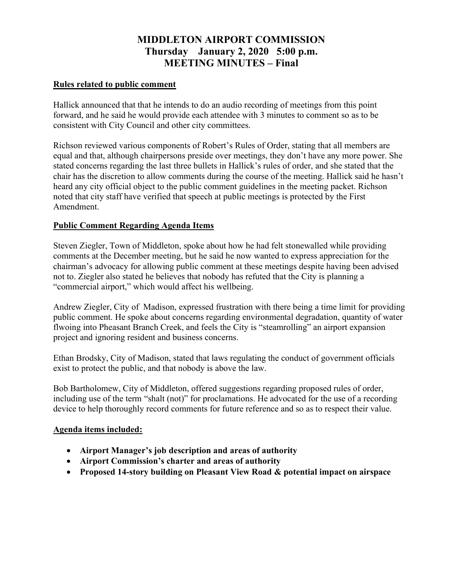# MIDDLETON AIRPORT COMMISSION Thursday January 2, 2020 5:00 p.m. MEETING MINUTES – Final

### Rules related to public comment

Hallick announced that that he intends to do an audio recording of meetings from this point forward, and he said he would provide each attendee with 3 minutes to comment so as to be consistent with City Council and other city committees.

Richson reviewed various components of Robert's Rules of Order, stating that all members are equal and that, although chairpersons preside over meetings, they don't have any more power. She stated concerns regarding the last three bullets in Hallick's rules of order, and she stated that the chair has the discretion to allow comments during the course of the meeting. Hallick said he hasn't heard any city official object to the public comment guidelines in the meeting packet. Richson noted that city staff have verified that speech at public meetings is protected by the First Amendment.

# Public Comment Regarding Agenda Items

Steven Ziegler, Town of Middleton, spoke about how he had felt stonewalled while providing comments at the December meeting, but he said he now wanted to express appreciation for the chairman's advocacy for allowing public comment at these meetings despite having been advised not to. Ziegler also stated he believes that nobody has refuted that the City is planning a "commercial airport," which would affect his wellbeing.

Andrew Ziegler, City of Madison, expressed frustration with there being a time limit for providing public comment. He spoke about concerns regarding environmental degradation, quantity of water flwoing into Pheasant Branch Creek, and feels the City is "steamrolling" an airport expansion project and ignoring resident and business concerns.

Ethan Brodsky, City of Madison, stated that laws regulating the conduct of government officials exist to protect the public, and that nobody is above the law.

Bob Bartholomew, City of Middleton, offered suggestions regarding proposed rules of order, including use of the term "shalt (not)" for proclamations. He advocated for the use of a recording device to help thoroughly record comments for future reference and so as to respect their value.

# Agenda items included:

- Airport Manager's job description and areas of authority
- Airport Commission's charter and areas of authority
- Proposed 14-story building on Pleasant View Road & potential impact on airspace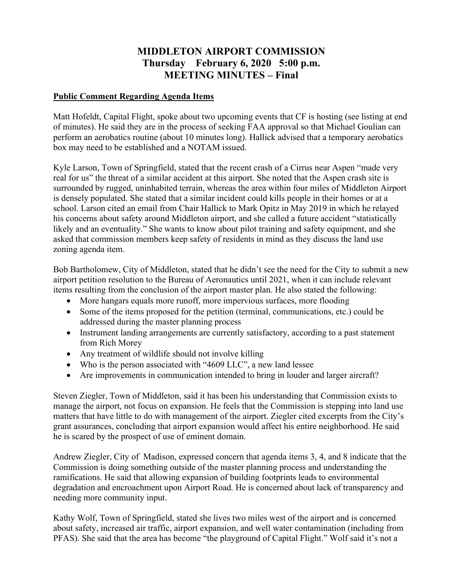# MIDDLETON AIRPORT COMMISSION Thursday February 6, 2020 5:00 p.m. MEETING MINUTES – Final

### Public Comment Regarding Agenda Items

Matt Hofeldt, Capital Flight, spoke about two upcoming events that CF is hosting (see listing at end of minutes). He said they are in the process of seeking FAA approval so that Michael Goulian can perform an aerobatics routine (about 10 minutes long). Hallick advised that a temporary aerobatics box may need to be established and a NOTAM issued.

Kyle Larson, Town of Springfield, stated that the recent crash of a Cirrus near Aspen "made very real for us" the threat of a similar accident at this airport. She noted that the Aspen crash site is surrounded by rugged, uninhabited terrain, whereas the area within four miles of Middleton Airport is densely populated. She stated that a similar incident could kills people in their homes or at a school. Larson cited an email from Chair Hallick to Mark Opitz in May 2019 in which he relayed his concerns about safety around Middleton airport, and she called a future accident "statistically likely and an eventuality." She wants to know about pilot training and safety equipment, and she asked that commission members keep safety of residents in mind as they discuss the land use zoning agenda item.

Bob Bartholomew, City of Middleton, stated that he didn't see the need for the City to submit a new airport petition resolution to the Bureau of Aeronautics until 2021, when it can include relevant items resulting from the conclusion of the airport master plan. He also stated the following:

- More hangars equals more runoff, more impervious surfaces, more flooding
- Some of the items proposed for the petition (terminal, communications, etc.) could be addressed during the master planning process
- Instrument landing arrangements are currently satisfactory, according to a past statement from Rich Morey
- Any treatment of wildlife should not involve killing
- Who is the person associated with "4609 LLC", a new land lessee
- Are improvements in communication intended to bring in louder and larger aircraft?

Steven Ziegler, Town of Middleton, said it has been his understanding that Commission exists to manage the airport, not focus on expansion. He feels that the Commission is stepping into land use matters that have little to do with management of the airport. Ziegler cited excerpts from the City's grant assurances, concluding that airport expansion would affect his entire neighborhood. He said he is scared by the prospect of use of eminent domain.

Andrew Ziegler, City of Madison, expressed concern that agenda items 3, 4, and 8 indicate that the Commission is doing something outside of the master planning process and understanding the ramifications. He said that allowing expansion of building footprints leads to environmental degradation and encroachment upon Airport Road. He is concerned about lack of transparency and needing more community input.

Kathy Wolf, Town of Springfield, stated she lives two miles west of the airport and is concerned about safety, increased air traffic, airport expansion, and well water contamination (including from PFAS). She said that the area has become "the playground of Capital Flight." Wolf said it's not a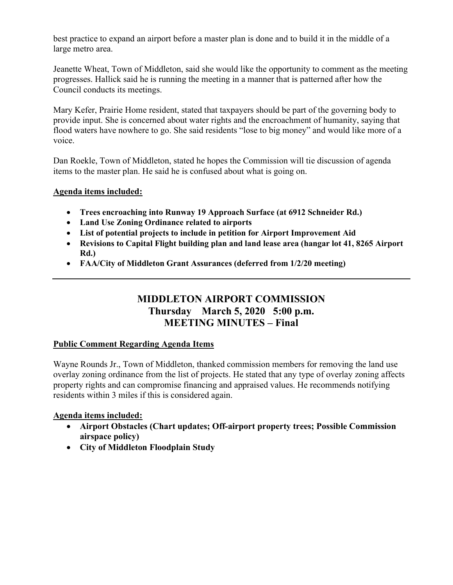best practice to expand an airport before a master plan is done and to build it in the middle of a large metro area.

Jeanette Wheat, Town of Middleton, said she would like the opportunity to comment as the meeting progresses. Hallick said he is running the meeting in a manner that is patterned after how the Council conducts its meetings.

Mary Kefer, Prairie Home resident, stated that taxpayers should be part of the governing body to provide input. She is concerned about water rights and the encroachment of humanity, saying that flood waters have nowhere to go. She said residents "lose to big money" and would like more of a voice.

Dan Roekle, Town of Middleton, stated he hopes the Commission will tie discussion of agenda items to the master plan. He said he is confused about what is going on.

# Agenda items included:

- Trees encroaching into Runway 19 Approach Surface (at 6912 Schneider Rd.)
- Land Use Zoning Ordinance related to airports
- List of potential projects to include in petition for Airport Improvement Aid
- Revisions to Capital Flight building plan and land lease area (hangar lot 41, 8265 Airport Rd.)
- FAA/City of Middleton Grant Assurances (deferred from 1/2/20 meeting)

# MIDDLETON AIRPORT COMMISSION Thursday March 5, 2020 5:00 p.m. MEETING MINUTES – Final

# Public Comment Regarding Agenda Items

Wayne Rounds Jr., Town of Middleton, thanked commission members for removing the land use overlay zoning ordinance from the list of projects. He stated that any type of overlay zoning affects property rights and can compromise financing and appraised values. He recommends notifying residents within 3 miles if this is considered again.

# Agenda items included:

- Airport Obstacles (Chart updates; Off-airport property trees; Possible Commission airspace policy)
- City of Middleton Floodplain Study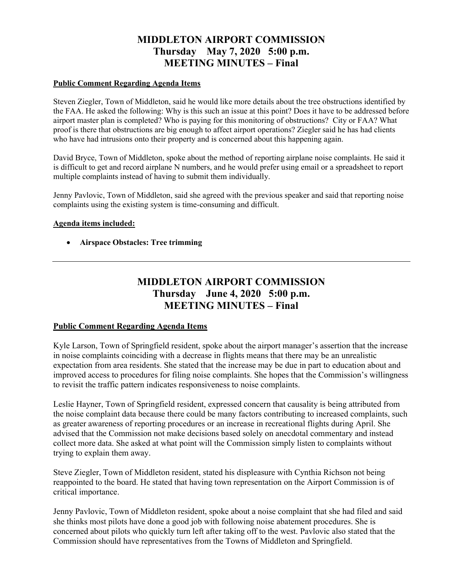# MIDDLETON AIRPORT COMMISSION Thursday May 7, 2020 5:00 p.m. MEETING MINUTES – Final

#### Public Comment Regarding Agenda Items

Steven Ziegler, Town of Middleton, said he would like more details about the tree obstructions identified by the FAA. He asked the following: Why is this such an issue at this point? Does it have to be addressed before airport master plan is completed? Who is paying for this monitoring of obstructions? City or FAA? What proof is there that obstructions are big enough to affect airport operations? Ziegler said he has had clients who have had intrusions onto their property and is concerned about this happening again.

David Bryce, Town of Middleton, spoke about the method of reporting airplane noise complaints. He said it is difficult to get and record airplane N numbers, and he would prefer using email or a spreadsheet to report multiple complaints instead of having to submit them individually.

Jenny Pavlovic, Town of Middleton, said she agreed with the previous speaker and said that reporting noise complaints using the existing system is time-consuming and difficult.

#### Agenda items included:

Airspace Obstacles: Tree trimming

# MIDDLETON AIRPORT COMMISSION Thursday June 4, 2020 5:00 p.m. MEETING MINUTES – Final

#### Public Comment Regarding Agenda Items

Kyle Larson, Town of Springfield resident, spoke about the airport manager's assertion that the increase in noise complaints coinciding with a decrease in flights means that there may be an unrealistic expectation from area residents. She stated that the increase may be due in part to education about and improved access to procedures for filing noise complaints. She hopes that the Commission's willingness to revisit the traffic pattern indicates responsiveness to noise complaints.

Leslie Hayner, Town of Springfield resident, expressed concern that causality is being attributed from the noise complaint data because there could be many factors contributing to increased complaints, such as greater awareness of reporting procedures or an increase in recreational flights during April. She advised that the Commission not make decisions based solely on anecdotal commentary and instead collect more data. She asked at what point will the Commission simply listen to complaints without trying to explain them away.

Steve Ziegler, Town of Middleton resident, stated his displeasure with Cynthia Richson not being reappointed to the board. He stated that having town representation on the Airport Commission is of critical importance.

Jenny Pavlovic, Town of Middleton resident, spoke about a noise complaint that she had filed and said she thinks most pilots have done a good job with following noise abatement procedures. She is concerned about pilots who quickly turn left after taking off to the west. Pavlovic also stated that the Commission should have representatives from the Towns of Middleton and Springfield.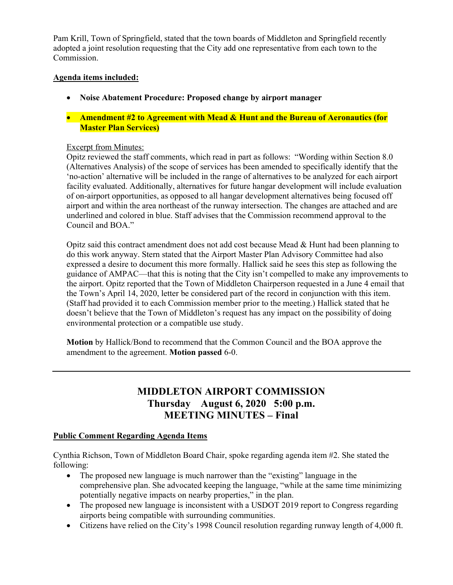Pam Krill, Town of Springfield, stated that the town boards of Middleton and Springfield recently adopted a joint resolution requesting that the City add one representative from each town to the Commission.

#### Agenda items included:

- Noise Abatement Procedure: Proposed change by airport manager
- Amendment #2 to Agreement with Mead & Hunt and the Bureau of Aeronautics (for Master Plan Services)

#### Excerpt from Minutes:

Opitz reviewed the staff comments, which read in part as follows: "Wording within Section 8.0 (Alternatives Analysis) of the scope of services has been amended to specifically identify that the 'no-action' alternative will be included in the range of alternatives to be analyzed for each airport facility evaluated. Additionally, alternatives for future hangar development will include evaluation of on-airport opportunities, as opposed to all hangar development alternatives being focused off airport and within the area northeast of the runway intersection. The changes are attached and are underlined and colored in blue. Staff advises that the Commission recommend approval to the Council and BOA."

Opitz said this contract amendment does not add cost because Mead  $\&$  Hunt had been planning to do this work anyway. Stern stated that the Airport Master Plan Advisory Committee had also expressed a desire to document this more formally. Hallick said he sees this step as following the guidance of AMPAC—that this is noting that the City isn't compelled to make any improvements to the airport. Opitz reported that the Town of Middleton Chairperson requested in a June 4 email that the Town's April 14, 2020, letter be considered part of the record in conjunction with this item. (Staff had provided it to each Commission member prior to the meeting.) Hallick stated that he doesn't believe that the Town of Middleton's request has any impact on the possibility of doing environmental protection or a compatible use study.

Motion by Hallick/Bond to recommend that the Common Council and the BOA approve the amendment to the agreement. Motion passed 6-0.

# MIDDLETON AIRPORT COMMISSION Thursday August 6, 2020 5:00 p.m. MEETING MINUTES – Final

#### Public Comment Regarding Agenda Items

Cynthia Richson, Town of Middleton Board Chair, spoke regarding agenda item #2. She stated the following:

- The proposed new language is much narrower than the "existing" language in the comprehensive plan. She advocated keeping the language, "while at the same time minimizing potentially negative impacts on nearby properties," in the plan.
- The proposed new language is inconsistent with a USDOT 2019 report to Congress regarding airports being compatible with surrounding communities.
- Citizens have relied on the City's 1998 Council resolution regarding runway length of 4,000 ft.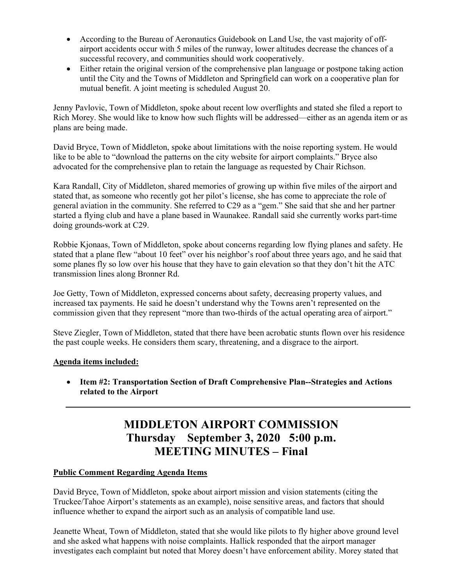- According to the Bureau of Aeronautics Guidebook on Land Use, the vast majority of offairport accidents occur with 5 miles of the runway, lower altitudes decrease the chances of a successful recovery, and communities should work cooperatively.
- Either retain the original version of the comprehensive plan language or postpone taking action until the City and the Towns of Middleton and Springfield can work on a cooperative plan for mutual benefit. A joint meeting is scheduled August 20.

Jenny Pavlovic, Town of Middleton, spoke about recent low overflights and stated she filed a report to Rich Morey. She would like to know how such flights will be addressed—either as an agenda item or as plans are being made.

David Bryce, Town of Middleton, spoke about limitations with the noise reporting system. He would like to be able to "download the patterns on the city website for airport complaints." Bryce also advocated for the comprehensive plan to retain the language as requested by Chair Richson.

Kara Randall, City of Middleton, shared memories of growing up within five miles of the airport and stated that, as someone who recently got her pilot's license, she has come to appreciate the role of general aviation in the community. She referred to C29 as a "gem." She said that she and her partner started a flying club and have a plane based in Waunakee. Randall said she currently works part-time doing grounds-work at C29.

Robbie Kjonaas, Town of Middleton, spoke about concerns regarding low flying planes and safety. He stated that a plane flew "about 10 feet" over his neighbor's roof about three years ago, and he said that some planes fly so low over his house that they have to gain elevation so that they don't hit the ATC transmission lines along Bronner Rd.

Joe Getty, Town of Middleton, expressed concerns about safety, decreasing property values, and increased tax payments. He said he doesn't understand why the Towns aren't represented on the commission given that they represent "more than two-thirds of the actual operating area of airport."

Steve Ziegler, Town of Middleton, stated that there have been acrobatic stunts flown over his residence the past couple weeks. He considers them scary, threatening, and a disgrace to the airport.

# Agenda items included:

 Item #2: Transportation Section of Draft Comprehensive Plan--Strategies and Actions related to the Airport

# MIDDLETON AIRPORT COMMISSION Thursday September 3, 2020 5:00 p.m. MEETING MINUTES – Final

#### Public Comment Regarding Agenda Items

David Bryce, Town of Middleton, spoke about airport mission and vision statements (citing the Truckee/Tahoe Airport's statements as an example), noise sensitive areas, and factors that should influence whether to expand the airport such as an analysis of compatible land use.

Jeanette Wheat, Town of Middleton, stated that she would like pilots to fly higher above ground level and she asked what happens with noise complaints. Hallick responded that the airport manager investigates each complaint but noted that Morey doesn't have enforcement ability. Morey stated that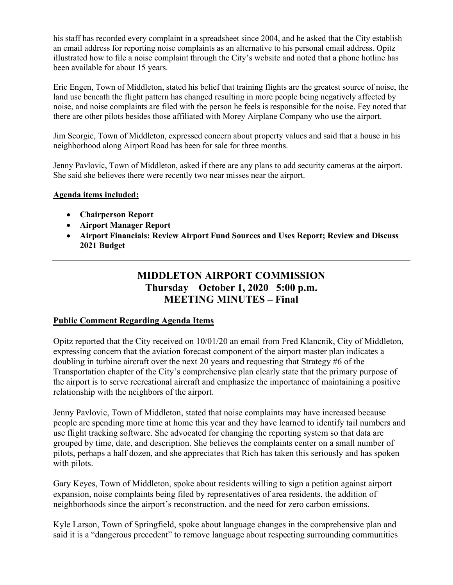his staff has recorded every complaint in a spreadsheet since 2004, and he asked that the City establish an email address for reporting noise complaints as an alternative to his personal email address. Opitz illustrated how to file a noise complaint through the City's website and noted that a phone hotline has been available for about 15 years.

Eric Engen, Town of Middleton, stated his belief that training flights are the greatest source of noise, the land use beneath the flight pattern has changed resulting in more people being negatively affected by noise, and noise complaints are filed with the person he feels is responsible for the noise. Fey noted that there are other pilots besides those affiliated with Morey Airplane Company who use the airport.

Jim Scorgie, Town of Middleton, expressed concern about property values and said that a house in his neighborhood along Airport Road has been for sale for three months.

Jenny Pavlovic, Town of Middleton, asked if there are any plans to add security cameras at the airport. She said she believes there were recently two near misses near the airport.

#### Agenda items included:

- Chairperson Report
- Airport Manager Report
- Airport Financials: Review Airport Fund Sources and Uses Report; Review and Discuss 2021 Budget

# MIDDLETON AIRPORT COMMISSION Thursday October 1, 2020 5:00 p.m. MEETING MINUTES – Final

# Public Comment Regarding Agenda Items

Opitz reported that the City received on 10/01/20 an email from Fred Klancnik, City of Middleton, expressing concern that the aviation forecast component of the airport master plan indicates a doubling in turbine aircraft over the next 20 years and requesting that Strategy #6 of the Transportation chapter of the City's comprehensive plan clearly state that the primary purpose of the airport is to serve recreational aircraft and emphasize the importance of maintaining a positive relationship with the neighbors of the airport.

Jenny Pavlovic, Town of Middleton, stated that noise complaints may have increased because people are spending more time at home this year and they have learned to identify tail numbers and use flight tracking software. She advocated for changing the reporting system so that data are grouped by time, date, and description. She believes the complaints center on a small number of pilots, perhaps a half dozen, and she appreciates that Rich has taken this seriously and has spoken with pilots.

Gary Keyes, Town of Middleton, spoke about residents willing to sign a petition against airport expansion, noise complaints being filed by representatives of area residents, the addition of neighborhoods since the airport's reconstruction, and the need for zero carbon emissions.

Kyle Larson, Town of Springfield, spoke about language changes in the comprehensive plan and said it is a "dangerous precedent" to remove language about respecting surrounding communities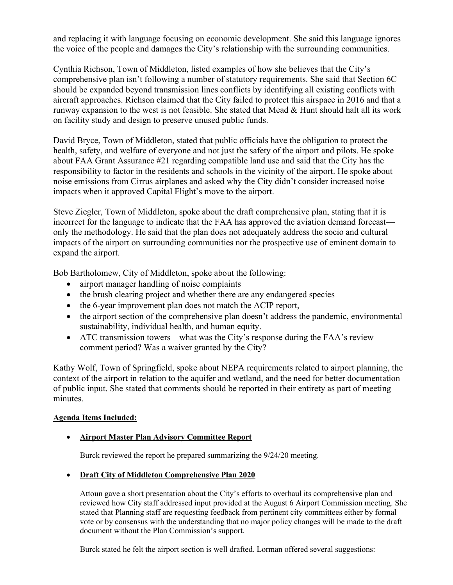and replacing it with language focusing on economic development. She said this language ignores the voice of the people and damages the City's relationship with the surrounding communities.

Cynthia Richson, Town of Middleton, listed examples of how she believes that the City's comprehensive plan isn't following a number of statutory requirements. She said that Section 6C should be expanded beyond transmission lines conflicts by identifying all existing conflicts with aircraft approaches. Richson claimed that the City failed to protect this airspace in 2016 and that a runway expansion to the west is not feasible. She stated that Mead & Hunt should halt all its work on facility study and design to preserve unused public funds.

David Bryce, Town of Middleton, stated that public officials have the obligation to protect the health, safety, and welfare of everyone and not just the safety of the airport and pilots. He spoke about FAA Grant Assurance #21 regarding compatible land use and said that the City has the responsibility to factor in the residents and schools in the vicinity of the airport. He spoke about noise emissions from Cirrus airplanes and asked why the City didn't consider increased noise impacts when it approved Capital Flight's move to the airport.

Steve Ziegler, Town of Middleton, spoke about the draft comprehensive plan, stating that it is incorrect for the language to indicate that the FAA has approved the aviation demand forecast only the methodology. He said that the plan does not adequately address the socio and cultural impacts of the airport on surrounding communities nor the prospective use of eminent domain to expand the airport.

Bob Bartholomew, City of Middleton, spoke about the following:

- airport manager handling of noise complaints
- the brush clearing project and whether there are any endangered species
- the 6-year improvement plan does not match the ACIP report,
- the airport section of the comprehensive plan doesn't address the pandemic, environmental sustainability, individual health, and human equity.
- ATC transmission towers—what was the City's response during the FAA's review comment period? Was a waiver granted by the City?

Kathy Wolf, Town of Springfield, spoke about NEPA requirements related to airport planning, the context of the airport in relation to the aquifer and wetland, and the need for better documentation of public input. She stated that comments should be reported in their entirety as part of meeting minutes.

# Agenda Items Included:

# Airport Master Plan Advisory Committee Report

Burck reviewed the report he prepared summarizing the 9/24/20 meeting.

# Draft City of Middleton Comprehensive Plan 2020

Attoun gave a short presentation about the City's efforts to overhaul its comprehensive plan and reviewed how City staff addressed input provided at the August 6 Airport Commission meeting. She stated that Planning staff are requesting feedback from pertinent city committees either by formal vote or by consensus with the understanding that no major policy changes will be made to the draft document without the Plan Commission's support.

Burck stated he felt the airport section is well drafted. Lorman offered several suggestions: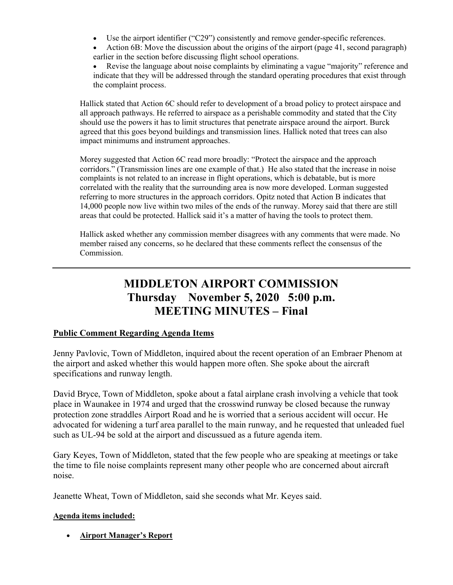- Use the airport identifier ("C29") consistently and remove gender-specific references.
- Action 6B: Move the discussion about the origins of the airport (page 41, second paragraph) earlier in the section before discussing flight school operations.
- Revise the language about noise complaints by eliminating a vague "majority" reference and indicate that they will be addressed through the standard operating procedures that exist through the complaint process.

Hallick stated that Action 6C should refer to development of a broad policy to protect airspace and all approach pathways. He referred to airspace as a perishable commodity and stated that the City should use the powers it has to limit structures that penetrate airspace around the airport. Burck agreed that this goes beyond buildings and transmission lines. Hallick noted that trees can also impact minimums and instrument approaches.

Morey suggested that Action 6C read more broadly: "Protect the airspace and the approach corridors." (Transmission lines are one example of that.) He also stated that the increase in noise complaints is not related to an increase in flight operations, which is debatable, but is more correlated with the reality that the surrounding area is now more developed. Lorman suggested referring to more structures in the approach corridors. Opitz noted that Action B indicates that 14,000 people now live within two miles of the ends of the runway. Morey said that there are still areas that could be protected. Hallick said it's a matter of having the tools to protect them.

Hallick asked whether any commission member disagrees with any comments that were made. No member raised any concerns, so he declared that these comments reflect the consensus of the Commission.

# MIDDLETON AIRPORT COMMISSION Thursday November 5, 2020 5:00 p.m. MEETING MINUTES – Final

# Public Comment Regarding Agenda Items

Jenny Pavlovic, Town of Middleton, inquired about the recent operation of an Embraer Phenom at the airport and asked whether this would happen more often. She spoke about the aircraft specifications and runway length.

David Bryce, Town of Middleton, spoke about a fatal airplane crash involving a vehicle that took place in Waunakee in 1974 and urged that the crosswind runway be closed because the runway protection zone straddles Airport Road and he is worried that a serious accident will occur. He advocated for widening a turf area parallel to the main runway, and he requested that unleaded fuel such as UL-94 be sold at the airport and discussued as a future agenda item.

Gary Keyes, Town of Middleton, stated that the few people who are speaking at meetings or take the time to file noise complaints represent many other people who are concerned about aircraft noise.

Jeanette Wheat, Town of Middleton, said she seconds what Mr. Keyes said.

#### Agenda items included:

Airport Manager's Report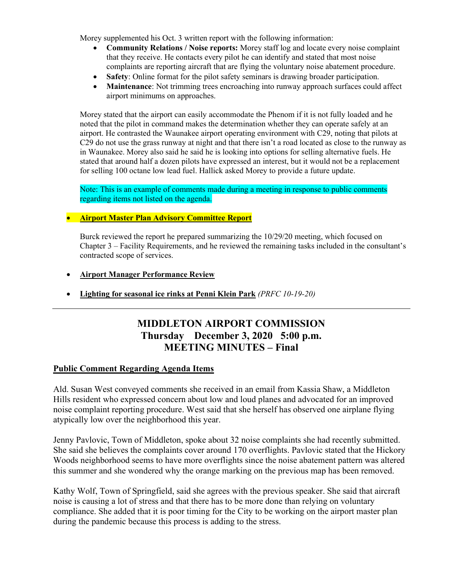Morey supplemented his Oct. 3 written report with the following information:

- Community Relations / Noise reports: Morey staff log and locate every noise complaint that they receive. He contacts every pilot he can identify and stated that most noise complaints are reporting aircraft that are flying the voluntary noise abatement procedure.
- Safety: Online format for the pilot safety seminars is drawing broader participation.
- Maintenance: Not trimming trees encroaching into runway approach surfaces could affect airport minimums on approaches.

Morey stated that the airport can easily accommodate the Phenom if it is not fully loaded and he noted that the pilot in command makes the determination whether they can operate safely at an airport. He contrasted the Waunakee airport operating environment with C29, noting that pilots at C29 do not use the grass runway at night and that there isn't a road located as close to the runway as in Waunakee. Morey also said he said he is looking into options for selling alternative fuels. He stated that around half a dozen pilots have expressed an interest, but it would not be a replacement for selling 100 octane low lead fuel. Hallick asked Morey to provide a future update.

Note: This is an example of comments made during a meeting in response to public comments regarding items not listed on the agenda.

#### **• Airport Master Plan Advisory Committee Report**

Burck reviewed the report he prepared summarizing the 10/29/20 meeting, which focused on Chapter 3 – Facility Requirements, and he reviewed the remaining tasks included in the consultant's contracted scope of services.

- Airport Manager Performance Review
- Lighting for seasonal ice rinks at Penni Klein Park  $(PRFC10-19-20)$

# MIDDLETON AIRPORT COMMISSION Thursday December 3, 2020 5:00 p.m. MEETING MINUTES – Final

#### Public Comment Regarding Agenda Items

Ald. Susan West conveyed comments she received in an email from Kassia Shaw, a Middleton Hills resident who expressed concern about low and loud planes and advocated for an improved noise complaint reporting procedure. West said that she herself has observed one airplane flying atypically low over the neighborhood this year.

Jenny Pavlovic, Town of Middleton, spoke about 32 noise complaints she had recently submitted. She said she believes the complaints cover around 170 overflights. Pavlovic stated that the Hickory Woods neighborhood seems to have more overflights since the noise abatement pattern was altered this summer and she wondered why the orange marking on the previous map has been removed.

Kathy Wolf, Town of Springfield, said she agrees with the previous speaker. She said that aircraft noise is causing a lot of stress and that there has to be more done than relying on voluntary compliance. She added that it is poor timing for the City to be working on the airport master plan during the pandemic because this process is adding to the stress.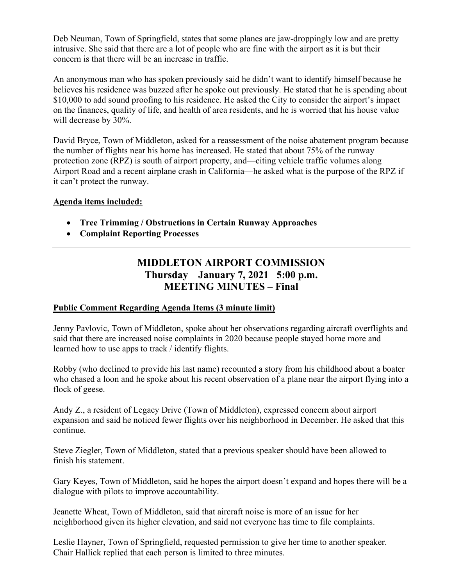Deb Neuman, Town of Springfield, states that some planes are jaw-droppingly low and are pretty intrusive. She said that there are a lot of people who are fine with the airport as it is but their concern is that there will be an increase in traffic.

An anonymous man who has spoken previously said he didn't want to identify himself because he believes his residence was buzzed after he spoke out previously. He stated that he is spending about \$10,000 to add sound proofing to his residence. He asked the City to consider the airport's impact on the finances, quality of life, and health of area residents, and he is worried that his house value will decrease by 30%.

David Bryce, Town of Middleton, asked for a reassessment of the noise abatement program because the number of flights near his home has increased. He stated that about 75% of the runway protection zone (RPZ) is south of airport property, and—citing vehicle traffic volumes along Airport Road and a recent airplane crash in California—he asked what is the purpose of the RPZ if it can't protect the runway.

# Agenda items included:

- Tree Trimming / Obstructions in Certain Runway Approaches
- Complaint Reporting Processes

# MIDDLETON AIRPORT COMMISSION Thursday January 7, 2021 5:00 p.m. MEETING MINUTES – Final

# Public Comment Regarding Agenda Items (3 minute limit)

Jenny Pavlovic, Town of Middleton, spoke about her observations regarding aircraft overflights and said that there are increased noise complaints in 2020 because people stayed home more and learned how to use apps to track / identify flights.

Robby (who declined to provide his last name) recounted a story from his childhood about a boater who chased a loon and he spoke about his recent observation of a plane near the airport flying into a flock of geese.

Andy Z., a resident of Legacy Drive (Town of Middleton), expressed concern about airport expansion and said he noticed fewer flights over his neighborhood in December. He asked that this continue.

Steve Ziegler, Town of Middleton, stated that a previous speaker should have been allowed to finish his statement.

Gary Keyes, Town of Middleton, said he hopes the airport doesn't expand and hopes there will be a dialogue with pilots to improve accountability.

Jeanette Wheat, Town of Middleton, said that aircraft noise is more of an issue for her neighborhood given its higher elevation, and said not everyone has time to file complaints.

Leslie Hayner, Town of Springfield, requested permission to give her time to another speaker. Chair Hallick replied that each person is limited to three minutes.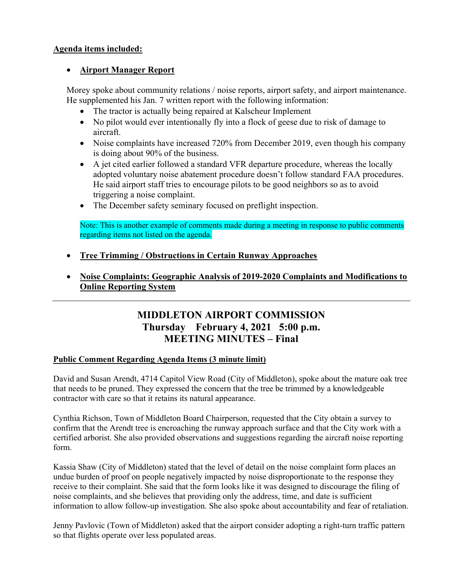# Agenda items included:

# Airport Manager Report

Morey spoke about community relations / noise reports, airport safety, and airport maintenance. He supplemented his Jan. 7 written report with the following information:

- The tractor is actually being repaired at Kalscheur Implement
- No pilot would ever intentionally fly into a flock of geese due to risk of damage to aircraft.
- Noise complaints have increased 720% from December 2019, even though his company is doing about 90% of the business.
- A jet cited earlier followed a standard VFR departure procedure, whereas the locally adopted voluntary noise abatement procedure doesn't follow standard FAA procedures. He said airport staff tries to encourage pilots to be good neighbors so as to avoid triggering a noise complaint.
- The December safety seminary focused on preflight inspection.

Note: This is another example of comments made during a meeting in response to public comments regarding items not listed on the agenda.

- Tree Trimming / Obstructions in Certain Runway Approaches
- Noise Complaints: Geographic Analysis of 2019-2020 Complaints and Modifications to Online Reporting System

# MIDDLETON AIRPORT COMMISSION Thursday February 4, 2021 5:00 p.m. MEETING MINUTES – Final

# Public Comment Regarding Agenda Items (3 minute limit)

David and Susan Arendt, 4714 Capitol View Road (City of Middleton), spoke about the mature oak tree that needs to be pruned. They expressed the concern that the tree be trimmed by a knowledgeable contractor with care so that it retains its natural appearance.

Cynthia Richson, Town of Middleton Board Chairperson, requested that the City obtain a survey to confirm that the Arendt tree is encroaching the runway approach surface and that the City work with a certified arborist. She also provided observations and suggestions regarding the aircraft noise reporting form.

Kassia Shaw (City of Middleton) stated that the level of detail on the noise complaint form places an undue burden of proof on people negatively impacted by noise disproportionate to the response they receive to their complaint. She said that the form looks like it was designed to discourage the filing of noise complaints, and she believes that providing only the address, time, and date is sufficient information to allow follow-up investigation. She also spoke about accountability and fear of retaliation.

Jenny Pavlovic (Town of Middleton) asked that the airport consider adopting a right-turn traffic pattern so that flights operate over less populated areas.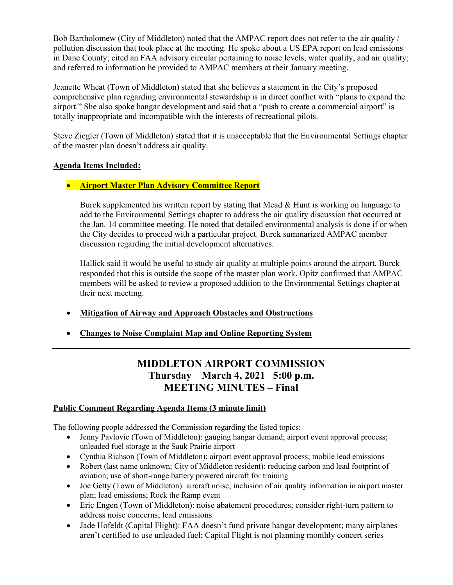Bob Bartholomew (City of Middleton) noted that the AMPAC report does not refer to the air quality / pollution discussion that took place at the meeting. He spoke about a US EPA report on lead emissions in Dane County; cited an FAA advisory circular pertaining to noise levels, water quality, and air quality; and referred to information he provided to AMPAC members at their January meeting.

Jeanette Wheat (Town of Middleton) stated that she believes a statement in the City's proposed comprehensive plan regarding environmental stewardship is in direct conflict with "plans to expand the airport." She also spoke hangar development and said that a "push to create a commercial airport" is totally inappropriate and incompatible with the interests of recreational pilots.

Steve Ziegler (Town of Middleton) stated that it is unacceptable that the Environmental Settings chapter of the master plan doesn't address air quality.

### Agenda Items Included:

# **• Airport Master Plan Advisory Committee Report**

Burck supplemented his written report by stating that Mead & Hunt is working on language to add to the Environmental Settings chapter to address the air quality discussion that occurred at the Jan. 14 committee meeting. He noted that detailed environmental analysis is done if or when the City decides to proceed with a particular project. Burck summarized AMPAC member discussion regarding the initial development alternatives.

Hallick said it would be useful to study air quality at multiple points around the airport. Burck responded that this is outside the scope of the master plan work. Opitz confirmed that AMPAC members will be asked to review a proposed addition to the Environmental Settings chapter at their next meeting.

- Mitigation of Airway and Approach Obstacles and Obstructions
- Changes to Noise Complaint Map and Online Reporting System

# MIDDLETON AIRPORT COMMISSION Thursday March 4, 2021 5:00 p.m. MEETING MINUTES – Final

#### Public Comment Regarding Agenda Items (3 minute limit)

The following people addressed the Commission regarding the listed topics:

- Jenny Pavlovic (Town of Middleton): gauging hangar demand; airport event approval process; unleaded fuel storage at the Sauk Prairie airport
- Cynthia Richson (Town of Middleton): airport event approval process; mobile lead emissions
- Robert (last name unknown; City of Middleton resident): reducing carbon and lead footprint of aviation; use of short-range battery powered aircraft for training
- Joe Getty (Town of Middleton): aircraft noise; inclusion of air quality information in airport master plan; lead emissions; Rock the Ramp event
- Eric Engen (Town of Middleton): noise abatement procedures; consider right-turn pattern to address noise concerns; lead emissions
- Jade Hofeldt (Capital Flight): FAA doesn't fund private hangar development; many airplanes aren't certified to use unleaded fuel; Capital Flight is not planning monthly concert series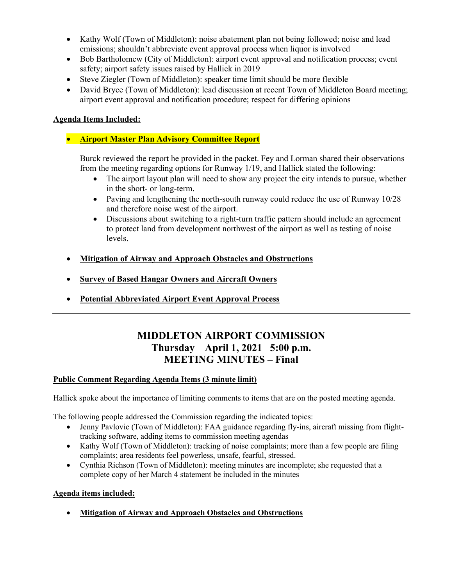- Kathy Wolf (Town of Middleton): noise abatement plan not being followed; noise and lead emissions; shouldn't abbreviate event approval process when liquor is involved
- Bob Bartholomew (City of Middleton): airport event approval and notification process; event safety; airport safety issues raised by Hallick in 2019
- Steve Ziegler (Town of Middleton): speaker time limit should be more flexible
- David Bryce (Town of Middleton): lead discussion at recent Town of Middleton Board meeting; airport event approval and notification procedure; respect for differing opinions

# Agenda Items Included:

# **• Airport Master Plan Advisory Committee Report**

Burck reviewed the report he provided in the packet. Fey and Lorman shared their observations from the meeting regarding options for Runway 1/19, and Hallick stated the following:

- The airport layout plan will need to show any project the city intends to pursue, whether in the short- or long-term.
- Paving and lengthening the north-south runway could reduce the use of Runway 10/28 and therefore noise west of the airport.
- Discussions about switching to a right-turn traffic pattern should include an agreement to protect land from development northwest of the airport as well as testing of noise levels.
- Mitigation of Airway and Approach Obstacles and Obstructions
- Survey of Based Hangar Owners and Aircraft Owners
- Potential Abbreviated Airport Event Approval Process

# MIDDLETON AIRPORT COMMISSION Thursday April 1, 2021 5:00 p.m. MEETING MINUTES – Final

# Public Comment Regarding Agenda Items (3 minute limit)

Hallick spoke about the importance of limiting comments to items that are on the posted meeting agenda.

The following people addressed the Commission regarding the indicated topics:

- Jenny Pavlovic (Town of Middleton): FAA guidance regarding fly-ins, aircraft missing from flighttracking software, adding items to commission meeting agendas
- Kathy Wolf (Town of Middleton): tracking of noise complaints; more than a few people are filing complaints; area residents feel powerless, unsafe, fearful, stressed.
- Cynthia Richson (Town of Middleton): meeting minutes are incomplete; she requested that a complete copy of her March 4 statement be included in the minutes

#### Agenda items included:

Mitigation of Airway and Approach Obstacles and Obstructions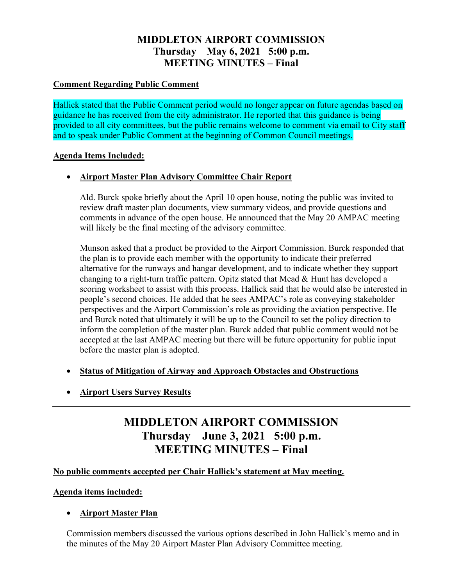# MIDDLETON AIRPORT COMMISSION Thursday May 6, 2021 5:00 p.m. MEETING MINUTES – Final

# Comment Regarding Public Comment

Hallick stated that the Public Comment period would no longer appear on future agendas based on guidance he has received from the city administrator. He reported that this guidance is being provided to all city committees, but the public remains welcome to comment via email to City staff and to speak under Public Comment at the beginning of Common Council meetings.

# Agenda Items Included:

# Airport Master Plan Advisory Committee Chair Report

Ald. Burck spoke briefly about the April 10 open house, noting the public was invited to review draft master plan documents, view summary videos, and provide questions and comments in advance of the open house. He announced that the May 20 AMPAC meeting will likely be the final meeting of the advisory committee.

Munson asked that a product be provided to the Airport Commission. Burck responded that the plan is to provide each member with the opportunity to indicate their preferred alternative for the runways and hangar development, and to indicate whether they support changing to a right-turn traffic pattern. Opitz stated that Mead & Hunt has developed a scoring worksheet to assist with this process. Hallick said that he would also be interested in people's second choices. He added that he sees AMPAC's role as conveying stakeholder perspectives and the Airport Commission's role as providing the aviation perspective. He and Burck noted that ultimately it will be up to the Council to set the policy direction to inform the completion of the master plan. Burck added that public comment would not be accepted at the last AMPAC meeting but there will be future opportunity for public input before the master plan is adopted.

- Status of Mitigation of Airway and Approach Obstacles and Obstructions
- **Airport Users Survey Results**

# MIDDLETON AIRPORT COMMISSION Thursday June 3, 2021 5:00 p.m. MEETING MINUTES – Final

# No public comments accepted per Chair Hallick's statement at May meeting.

# Agenda items included:

# Airport Master Plan

Commission members discussed the various options described in John Hallick's memo and in the minutes of the May 20 Airport Master Plan Advisory Committee meeting.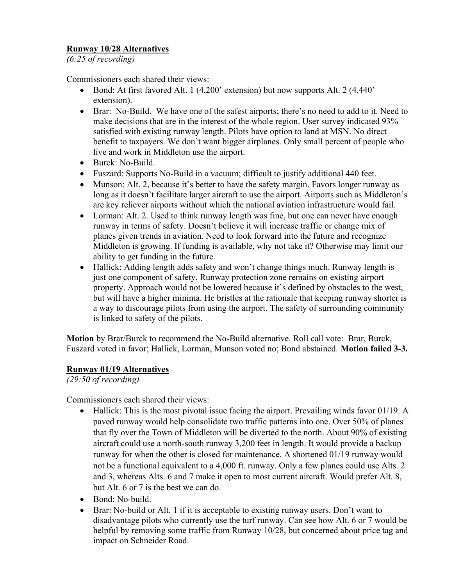# Runway 10/28 Alternatives

(6:25 of recording)

Commissioners each shared their views:

- Bond: At first favored Alt. 1 (4,200' extension) but now supports Alt. 2 (4,440' extension).
- Brar: No-Build. We have one of the safest airports; there's no need to add to it. Need to make decisions that are in the interest of the whole region. User survey indicated 93% satisfied with existing runway length. Pilots have option to land at MSN. No direct benefit to taxpayers. We don't want bigger airplanes. Only small percent of people who live and work in Middleton use the airport.
- Burck: No-Build.
- Fuszard: Supports No-Build in a vacuum; difficult to justify additional 440 feet.
- Munson: Alt. 2, because it's better to have the safety margin. Favors longer runway as long as it doesn't facilitate larger aircraft to use the airport. Airports such as Middleton's are key reliever airports without which the national aviation infrastructure would fail.
- Lorman: Alt. 2. Used to think runway length was fine, but one can never have enough runway in terms of safety. Doesn't believe it will increase traffic or change mix of planes given trends in aviation. Need to look forward into the future and recognize Middleton is growing. If funding is available, why not take it? Otherwise may limit our ability to get funding in the future.
- Hallick: Adding length adds safety and won't change things much. Runway length is just one component of safety. Runway protection zone remains on existing airport property. Approach would not be lowered because it's defined by obstacles to the west, but will have a higher minima. He bristles at the rationale that keeping runway shorter is a way to discourage pilots from using the airport. The safety of surrounding community is linked to safety of the pilots.

Motion by Brar/Burck to recommend the No-Build alternative. Roll call vote: Brar, Burck, Fuszard voted in favor; Hallick, Lorman, Munson voted no; Bond abstained. Motion failed 3-3.

# Runway 01/19 Alternatives

(29:50 of recording)

Commissioners each shared their views:

- Hallick: This is the most pivotal issue facing the airport. Prevailing winds favor 01/19. A paved runway would help consolidate two traffic patterns into one. Over 50% of planes that fly over the Town of Middleton will be diverted to the north. About 90% of existing aircraft could use a north-south runway 3,200 feet in length. It would provide a backup runway for when the other is closed for maintenance. A shortened 01/19 runway would not be a functional equivalent to a 4,000 ft. runway. Only a few planes could use Alts. 2 and 3, whereas Alts. 6 and 7 make it open to most current aircraft. Would prefer Alt. 8, but Alt. 6 or 7 is the best we can do.
- Bond: No-build.
- Brar: No-build or Alt. 1 if it is acceptable to existing runway users. Don't want to disadvantage pilots who currently use the turf runway. Can see how Alt. 6 or 7 would be helpful by removing some traffic from Runway 10/28, but concerned about price tag and impact on Schneider Road.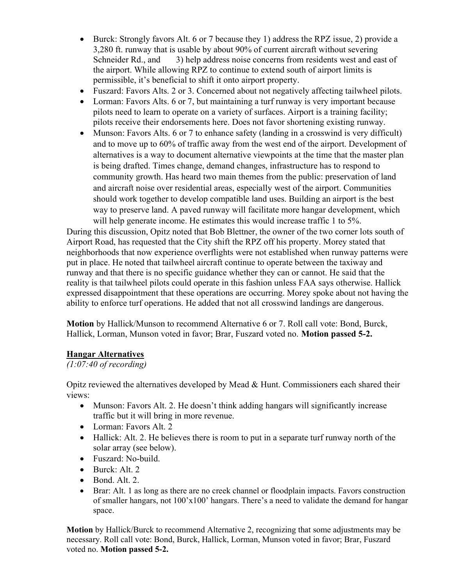- Burck: Strongly favors Alt. 6 or 7 because they 1) address the RPZ issue, 2) provide a 3,280 ft. runway that is usable by about 90% of current aircraft without severing Schneider Rd., and 3) help address noise concerns from residents west and east of the airport. While allowing RPZ to continue to extend south of airport limits is permissible, it's beneficial to shift it onto airport property.
- Fuszard: Favors Alts. 2 or 3. Concerned about not negatively affecting tailwheel pilots.
- Lorman: Favors Alts. 6 or 7, but maintaining a turf runway is very important because pilots need to learn to operate on a variety of surfaces. Airport is a training facility; pilots receive their endorsements here. Does not favor shortening existing runway.
- Munson: Favors Alts. 6 or 7 to enhance safety (landing in a crosswind is very difficult) and to move up to 60% of traffic away from the west end of the airport. Development of alternatives is a way to document alternative viewpoints at the time that the master plan is being drafted. Times change, demand changes, infrastructure has to respond to community growth. Has heard two main themes from the public: preservation of land and aircraft noise over residential areas, especially west of the airport. Communities should work together to develop compatible land uses. Building an airport is the best way to preserve land. A paved runway will facilitate more hangar development, which will help generate income. He estimates this would increase traffic 1 to 5%.

During this discussion, Opitz noted that Bob Blettner, the owner of the two corner lots south of Airport Road, has requested that the City shift the RPZ off his property. Morey stated that neighborhoods that now experience overflights were not established when runway patterns were put in place. He noted that tailwheel aircraft continue to operate between the taxiway and runway and that there is no specific guidance whether they can or cannot. He said that the reality is that tailwheel pilots could operate in this fashion unless FAA says otherwise. Hallick expressed disappointment that these operations are occurring. Morey spoke about not having the ability to enforce turf operations. He added that not all crosswind landings are dangerous.

Motion by Hallick/Munson to recommend Alternative 6 or 7. Roll call vote: Bond, Burck, Hallick, Lorman, Munson voted in favor; Brar, Fuszard voted no. Motion passed 5-2.

# Hangar Alternatives

# (1:07:40 of recording)

Opitz reviewed the alternatives developed by Mead & Hunt. Commissioners each shared their views:

- Munson: Favors Alt. 2. He doesn't think adding hangars will significantly increase traffic but it will bring in more revenue.
- Lorman: Favors Alt. 2
- Hallick: Alt. 2. He believes there is room to put in a separate turf runway north of the solar array (see below).
- Fuszard: No-build.
- Burck: Alt. 2
- $\bullet$  Bond. Alt. 2.
- Brar: Alt. 1 as long as there are no creek channel or floodplain impacts. Favors construction of smaller hangars, not 100'x100' hangars. There's a need to validate the demand for hangar space.

Motion by Hallick/Burck to recommend Alternative 2, recognizing that some adjustments may be necessary. Roll call vote: Bond, Burck, Hallick, Lorman, Munson voted in favor; Brar, Fuszard voted no. Motion passed 5-2.